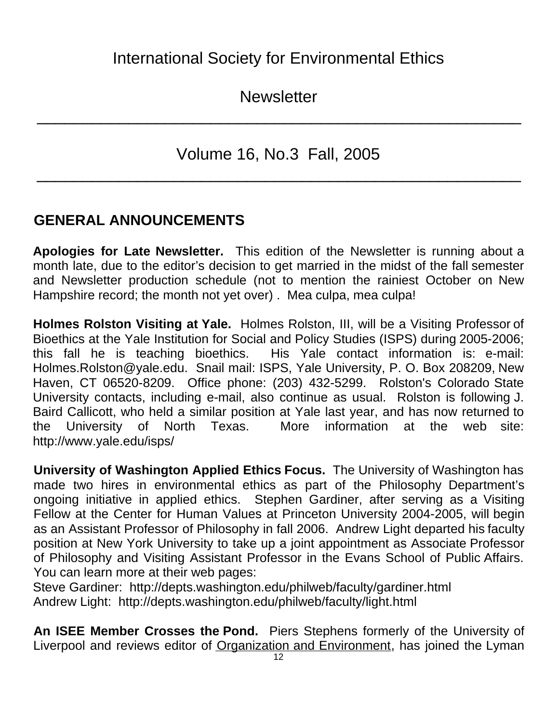**Newsletter** 

\_\_\_\_\_\_\_\_\_\_\_\_\_\_\_\_\_\_\_\_\_\_\_\_\_\_\_\_\_\_\_\_\_\_\_\_\_\_\_\_\_\_\_\_\_\_\_\_\_\_\_\_\_

Volume 16, No.3 Fall, 2005

\_\_\_\_\_\_\_\_\_\_\_\_\_\_\_\_\_\_\_\_\_\_\_\_\_\_\_\_\_\_\_\_\_\_\_\_\_\_\_\_\_\_\_\_\_\_\_\_\_\_\_\_\_

# **GENERAL ANNOUNCEMENTS**

**Apologies for Late Newsletter.** This edition of the Newsletter is running about a month late, due to the editor's decision to get married in the midst of the fall semester and Newsletter production schedule (not to mention the rainiest October on New Hampshire record; the month not yet over) . Mea culpa, mea culpa!

**Holmes Rolston Visiting at Yale.** Holmes Rolston, III, will be a Visiting Professor of Bioethics at the Yale Institution for Social and Policy Studies (ISPS) during 2005-2006; this fall he is teaching bioethics. His Yale contact information is: e-mail: Holmes.Rolston@yale.edu. Snail mail: ISPS, Yale University, P. O. Box 208209, New Haven, CT 06520-8209. Office phone: (203) 432-5299. Rolston's Colorado State University contacts, including e-mail, also continue as usual. Rolston is following J. Baird Callicott, who held a similar position at Yale last year, and has now returned to the University of North Texas. More information at the web site: http://www.yale.edu/isps/

**University of Washington Applied Ethics Focus.** The University of Washington has made two hires in environmental ethics as part of the Philosophy Department's ongoing initiative in applied ethics. Stephen Gardiner, after serving as a Visiting Fellow at the Center for Human Values at Princeton University 2004-2005, will begin as an Assistant Professor of Philosophy in fall 2006. Andrew Light departed his faculty position at New York University to take up a joint appointment as Associate Professor of Philosophy and Visiting Assistant Professor in the Evans School of Public Affairs. You can learn more at their web pages:

Steve Gardiner: http://depts.washington.edu/philweb/faculty/gardiner.html Andrew Light: http://depts.washington.edu/philweb/faculty/light.html

**An ISEE Member Crosses the Pond.** Piers Stephens formerly of the University of Liverpool and reviews editor of Organization and Environment, has joined the Lyman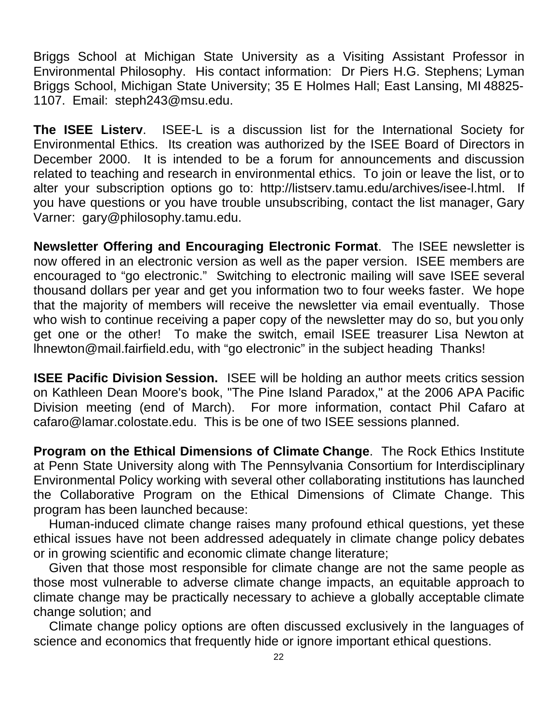Briggs School at Michigan State University as a Visiting Assistant Professor in Environmental Philosophy. His contact information: Dr Piers H.G. Stephens; Lyman Briggs School, Michigan State University; 35 E Holmes Hall; East Lansing, MI 48825- 1107. Email: steph243@msu.edu.

**The ISEE Listerv**. ISEE-L is a discussion list for the International Society for Environmental Ethics. Its creation was authorized by the ISEE Board of Directors in December 2000. It is intended to be a forum for announcements and discussion related to teaching and research in environmental ethics. To join or leave the list, or to alter your subscription options go to: http://listserv.tamu.edu/archives/isee-l.html. If you have questions or you have trouble unsubscribing, contact the list manager, Gary Varner: gary@philosophy.tamu.edu.

**Newsletter Offering and Encouraging Electronic Format**. The ISEE newsletter is now offered in an electronic version as well as the paper version. ISEE members are encouraged to "go electronic." Switching to electronic mailing will save ISEE several thousand dollars per year and get you information two to four weeks faster. We hope that the majority of members will receive the newsletter via email eventually. Those who wish to continue receiving a paper copy of the newsletter may do so, but you only get one or the other! To make the switch, email ISEE treasurer Lisa Newton at lhnewton@mail.fairfield.edu, with "go electronic" in the subject heading Thanks!

**ISEE Pacific Division Session.** ISEE will be holding an author meets critics session on Kathleen Dean Moore's book, "The Pine Island Paradox," at the 2006 APA Pacific Division meeting (end of March). For more information, contact Phil Cafaro at cafaro@lamar.colostate.edu. This is be one of two ISEE sessions planned.

**Program on the Ethical Dimensions of Climate Change**. The Rock Ethics Institute at Penn State University along with The Pennsylvania Consortium for Interdisciplinary Environmental Policy working with several other collaborating institutions has launched the Collaborative Program on the Ethical Dimensions of Climate Change. This program has been launched because:

Human-induced climate change raises many profound ethical questions, yet these ethical issues have not been addressed adequately in climate change policy debates or in growing scientific and economic climate change literature;

Given that those most responsible for climate change are not the same people as those most vulnerable to adverse climate change impacts, an equitable approach to climate change may be practically necessary to achieve a globally acceptable climate change solution; and

Climate change policy options are often discussed exclusively in the languages of science and economics that frequently hide or ignore important ethical questions.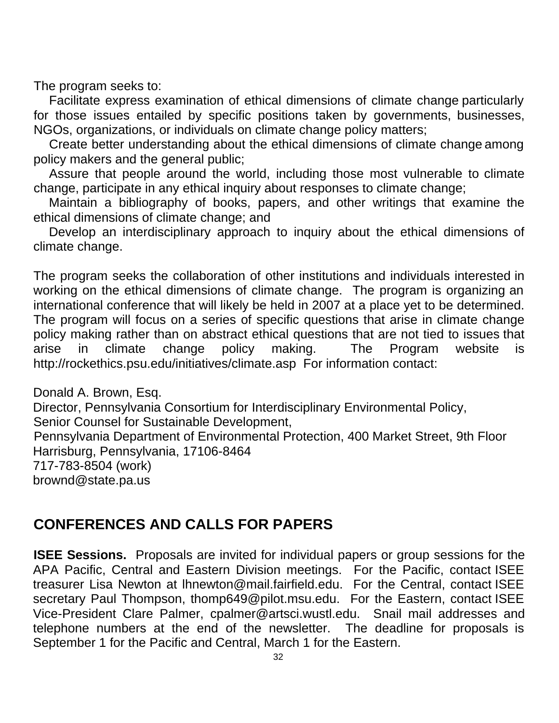The program seeks to:

Facilitate express examination of ethical dimensions of climate change particularly for those issues entailed by specific positions taken by governments, businesses, NGOs, organizations, or individuals on climate change policy matters;

Create better understanding about the ethical dimensions of climate change among policy makers and the general public;

Assure that people around the world, including those most vulnerable to climate change, participate in any ethical inquiry about responses to climate change;

Maintain a bibliography of books, papers, and other writings that examine the ethical dimensions of climate change; and

Develop an interdisciplinary approach to inquiry about the ethical dimensions of climate change.

The program seeks the collaboration of other institutions and individuals interested in working on the ethical dimensions of climate change. The program is organizing an international conference that will likely be held in 2007 at a place yet to be determined. The program will focus on a series of specific questions that arise in climate change policy making rather than on abstract ethical questions that are not tied to issues that arise in climate change policy making. The Program website is http://rockethics.psu.edu/initiatives/climate.asp For information contact:

Donald A. Brown, Esq. Director, Pennsylvania Consortium for Interdisciplinary Environmental Policy, Senior Counsel for Sustainable Development, Pennsylvania Department of Environmental Protection, 400 Market Street, 9th Floor Harrisburg, Pennsylvania, 17106-8464 717-783-8504 (work) brownd@state.pa.us

# **CONFERENCES AND CALLS FOR PAPERS**

**ISEE Sessions.** Proposals are invited for individual papers or group sessions for the APA Pacific, Central and Eastern Division meetings. For the Pacific, contact ISEE treasurer Lisa Newton at lhnewton@mail.fairfield.edu. For the Central, contact ISEE secretary Paul Thompson, thomp649@pilot.msu.edu. For the Eastern, contact ISEE Vice-President Clare Palmer, cpalmer@artsci.wustl.edu. Snail mail addresses and telephone numbers at the end of the newsletter. The deadline for proposals is September 1 for the Pacific and Central, March 1 for the Eastern.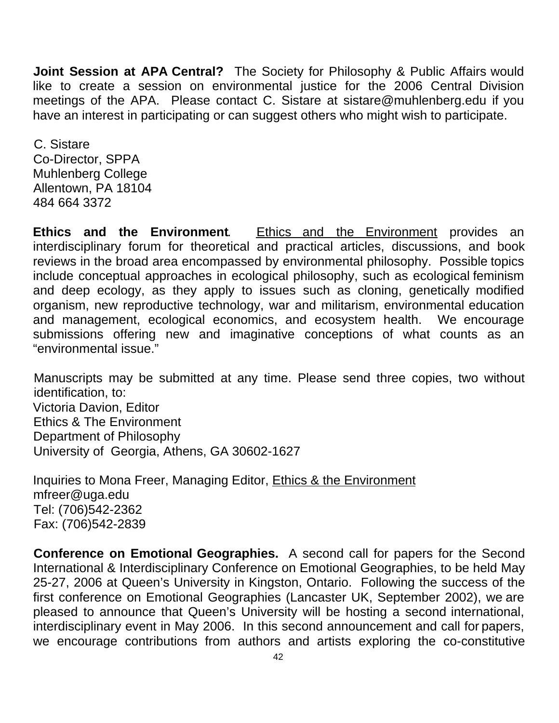**Joint Session at APA Central?** The Society for Philosophy & Public Affairs would like to create a session on environmental justice for the 2006 Central Division meetings of the APA. Please contact C. Sistare at sistare@muhlenberg.edu if you have an interest in participating or can suggest others who might wish to participate.

C. Sistare Co-Director, SPPA Muhlenberg College Allentown, PA 18104 484 664 3372

**Ethics and the Environment**. Ethics and the Environment provides an interdisciplinary forum for theoretical and practical articles, discussions, and book reviews in the broad area encompassed by environmental philosophy. Possible topics include conceptual approaches in ecological philosophy, such as ecological feminism and deep ecology, as they apply to issues such as cloning, genetically modified organism, new reproductive technology, war and militarism, environmental education and management, ecological economics, and ecosystem health. We encourage submissions offering new and imaginative conceptions of what counts as an "environmental issue."

Manuscripts may be submitted at any time. Please send three copies, two without identification, to: Victoria Davion, Editor Ethics & The Environment Department of Philosophy University of Georgia, Athens, GA 30602-1627

Inquiries to Mona Freer, Managing Editor, Ethics & the Environment mfreer@uga.edu Tel: (706)542-2362 Fax: (706)542-2839

**Conference on Emotional Geographies.** A second call for papers for the Second International & Interdisciplinary Conference on Emotional Geographies, to be held May 25-27, 2006 at Queen's University in Kingston, Ontario. Following the success of the first conference on Emotional Geographies (Lancaster UK, September 2002), we are pleased to announce that Queen's University will be hosting a second international, interdisciplinary event in May 2006. In this second announcement and call for papers, we encourage contributions from authors and artists exploring the co-constitutive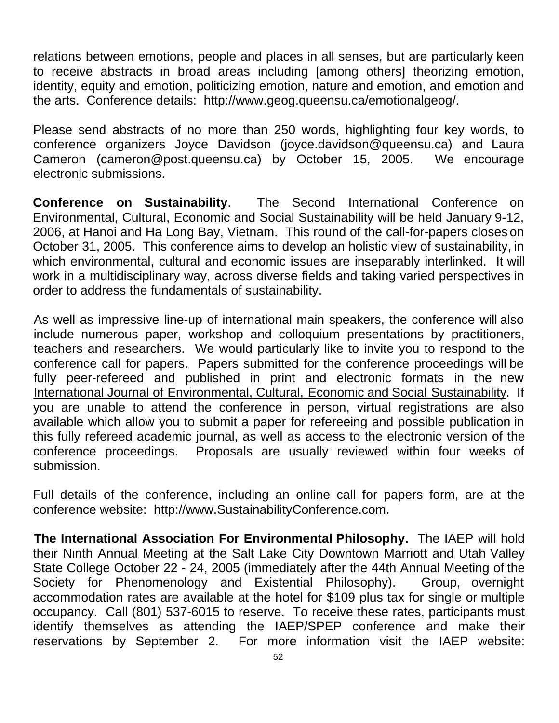relations between emotions, people and places in all senses, but are particularly keen to receive abstracts in broad areas including [among others] theorizing emotion, identity, equity and emotion, politicizing emotion, nature and emotion, and emotion and the arts. Conference details: http://www.geog.queensu.ca/emotionalgeog/.

Please send abstracts of no more than 250 words, highlighting four key words, to conference organizers Joyce Davidson (joyce.davidson@queensu.ca) and Laura Cameron (cameron@post.queensu.ca) by October 15, 2005. We encourage electronic submissions.

**Conference on Sustainability**. The Second International Conference on Environmental, Cultural, Economic and Social Sustainability will be held January 9-12, 2006, at Hanoi and Ha Long Bay, Vietnam. This round of the call-for-papers closes on October 31, 2005. This conference aims to develop an holistic view of sustainability, in which environmental, cultural and economic issues are inseparably interlinked. It will work in a multidisciplinary way, across diverse fields and taking varied perspectives in order to address the fundamentals of sustainability.

As well as impressive line-up of international main speakers, the conference will also include numerous paper, workshop and colloquium presentations by practitioners, teachers and researchers. We would particularly like to invite you to respond to the conference call for papers. Papers submitted for the conference proceedings will be fully peer-refereed and published in print and electronic formats in the new International Journal of Environmental, Cultural, Economic and Social Sustainability. If you are unable to attend the conference in person, virtual registrations are also available which allow you to submit a paper for refereeing and possible publication in this fully refereed academic journal, as well as access to the electronic version of the conference proceedings. Proposals are usually reviewed within four weeks of submission.

Full details of the conference, including an online call for papers form, are at the conference website: http://www.SustainabilityConference.com.

**The International Association For Environmental Philosophy.** The IAEP will hold their Ninth Annual Meeting at the Salt Lake City Downtown Marriott and Utah Valley State College October 22 - 24, 2005 (immediately after the 44th Annual Meeting of the Society for Phenomenology and Existential Philosophy). Group, overnight accommodation rates are available at the hotel for \$109 plus tax for single or multiple occupancy. Call (801) 537-6015 to reserve. To receive these rates, participants must identify themselves as attending the IAEP/SPEP conference and make their reservations by September 2. For more information visit the IAEP website: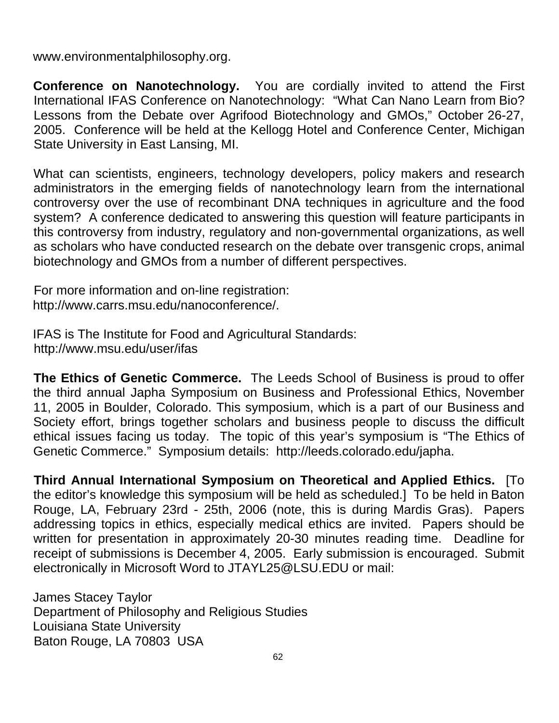www.environmentalphilosophy.org.

**Conference on Nanotechnology.** You are cordially invited to attend the First International IFAS Conference on Nanotechnology: "What Can Nano Learn from Bio? Lessons from the Debate over Agrifood Biotechnology and GMOs," October 26-27, 2005. Conference will be held at the Kellogg Hotel and Conference Center, Michigan State University in East Lansing, MI.

What can scientists, engineers, technology developers, policy makers and research administrators in the emerging fields of nanotechnology learn from the international controversy over the use of recombinant DNA techniques in agriculture and the food system? A conference dedicated to answering this question will feature participants in this controversy from industry, regulatory and non-governmental organizations, as well as scholars who have conducted research on the debate over transgenic crops, animal biotechnology and GMOs from a number of different perspectives.

For more information and on-line registration: http://www.carrs.msu.edu/nanoconference/.

IFAS is The Institute for Food and Agricultural Standards: http://www.msu.edu/user/ifas

**The Ethics of Genetic Commerce.** The Leeds School of Business is proud to offer the third annual Japha Symposium on Business and Professional Ethics, November 11, 2005 in Boulder, Colorado. This symposium, which is a part of our Business and Society effort, brings together scholars and business people to discuss the difficult ethical issues facing us today. The topic of this year's symposium is "The Ethics of Genetic Commerce." Symposium details: http://leeds.colorado.edu/japha.

**Third Annual International Symposium on Theoretical and Applied Ethics.** [To the editor's knowledge this symposium will be held as scheduled.] To be held in Baton Rouge, LA, February 23rd - 25th, 2006 (note, this is during Mardis Gras). Papers addressing topics in ethics, especially medical ethics are invited. Papers should be written for presentation in approximately 20-30 minutes reading time. Deadline for receipt of submissions is December 4, 2005. Early submission is encouraged. Submit electronically in Microsoft Word to JTAYL25@LSU.EDU or mail:

James Stacey Taylor Department of Philosophy and Religious Studies Louisiana State University Baton Rouge, LA 70803 USA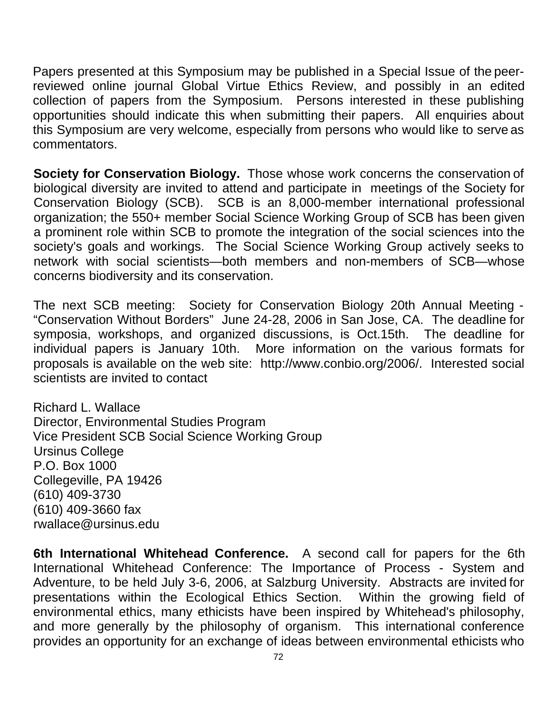Papers presented at this Symposium may be published in a Special Issue of the peerreviewed online journal Global Virtue Ethics Review, and possibly in an edited collection of papers from the Symposium. Persons interested in these publishing opportunities should indicate this when submitting their papers. All enquiries about this Symposium are very welcome, especially from persons who would like to serve as commentators.

**Society for Conservation Biology.** Those whose work concerns the conservation of biological diversity are invited to attend and participate in meetings of the Society for Conservation Biology (SCB). SCB is an 8,000-member international professional organization; the 550+ member Social Science Working Group of SCB has been given a prominent role within SCB to promote the integration of the social sciences into the society's goals and workings. The Social Science Working Group actively seeks to network with social scientists—both members and non-members of SCB—whose concerns biodiversity and its conservation.

The next SCB meeting: Society for Conservation Biology 20th Annual Meeting - "Conservation Without Borders" June 24-28, 2006 in San Jose, CA. The deadline for symposia, workshops, and organized discussions, is Oct.15th. The deadline for individual papers is January 10th. More information on the various formats for proposals is available on the web site: http://www.conbio.org/2006/. Interested social scientists are invited to contact

Richard L. Wallace Director, Environmental Studies Program Vice President SCB Social Science Working Group Ursinus College P.O. Box 1000 Collegeville, PA 19426 (610) 409-3730 (610) 409-3660 fax rwallace@ursinus.edu

**6th International Whitehead Conference.** A second call for papers for the 6th International Whitehead Conference: The Importance of Process - System and Adventure, to be held July 3-6, 2006, at Salzburg University. Abstracts are invited for presentations within the Ecological Ethics Section. Within the growing field of environmental ethics, many ethicists have been inspired by Whitehead's philosophy, and more generally by the philosophy of organism. This international conference provides an opportunity for an exchange of ideas between environmental ethicists who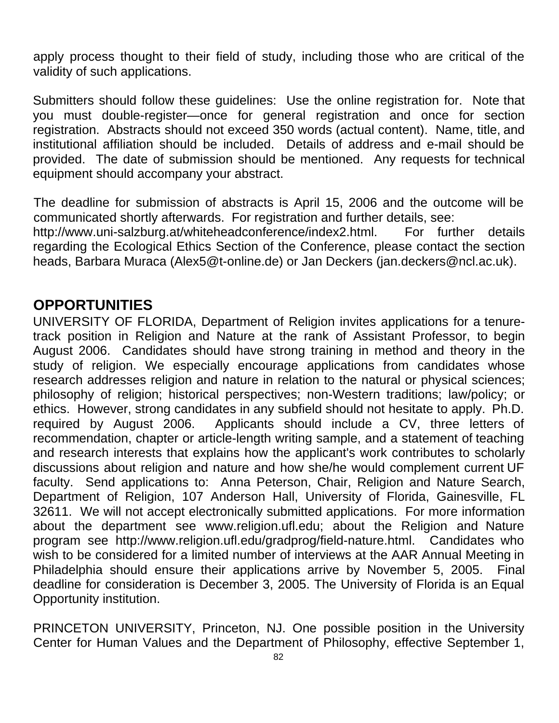apply process thought to their field of study, including those who are critical of the validity of such applications.

Submitters should follow these guidelines: Use the online registration for. Note that you must double-register—once for general registration and once for section registration. Abstracts should not exceed 350 words (actual content). Name, title, and institutional affiliation should be included. Details of address and e-mail should be provided. The date of submission should be mentioned. Any requests for technical equipment should accompany your abstract.

The deadline for submission of abstracts is April 15, 2006 and the outcome will be communicated shortly afterwards. For registration and further details, see: http://www.uni-salzburg.at/whiteheadconference/index2.html. For further details regarding the Ecological Ethics Section of the Conference, please contact the section heads, Barbara Muraca (Alex5@t-online.de) or Jan Deckers (jan.deckers@ncl.ac.uk).

## **OPPORTUNITIES**

UNIVERSITY OF FLORIDA, Department of Religion invites applications for a tenuretrack position in Religion and Nature at the rank of Assistant Professor, to begin August 2006. Candidates should have strong training in method and theory in the study of religion. We especially encourage applications from candidates whose research addresses religion and nature in relation to the natural or physical sciences; philosophy of religion; historical perspectives; non-Western traditions; law/policy; or ethics. However, strong candidates in any subfield should not hesitate to apply. Ph.D. required by August 2006. Applicants should include a CV, three letters of recommendation, chapter or article-length writing sample, and a statement of teaching and research interests that explains how the applicant's work contributes to scholarly discussions about religion and nature and how she/he would complement current UF faculty. Send applications to: Anna Peterson, Chair, Religion and Nature Search, Department of Religion, 107 Anderson Hall, University of Florida, Gainesville, FL 32611. We will not accept electronically submitted applications. For more information about the department see www.religion.ufl.edu; about the Religion and Nature program see http://www.religion.ufl.edu/gradprog/field-nature.html. Candidates who wish to be considered for a limited number of interviews at the AAR Annual Meeting in Philadelphia should ensure their applications arrive by November 5, 2005. Final deadline for consideration is December 3, 2005. The University of Florida is an Equal Opportunity institution.

PRINCETON UNIVERSITY, Princeton, NJ. One possible position in the University Center for Human Values and the Department of Philosophy, effective September 1,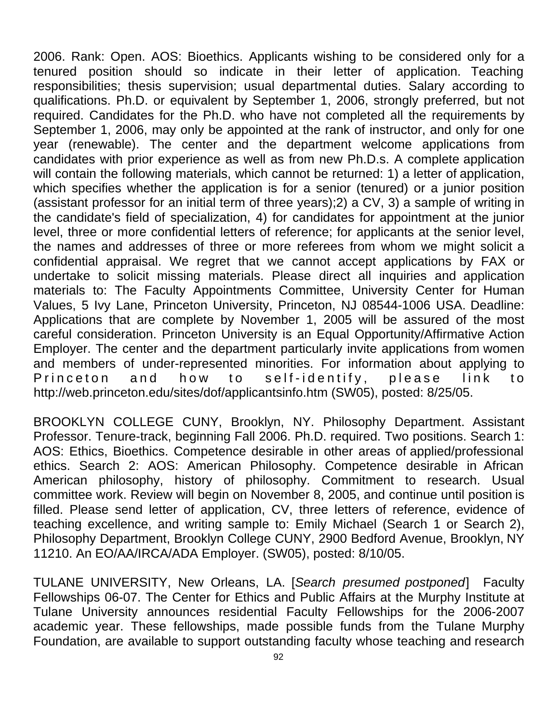2006. Rank: Open. AOS: Bioethics. Applicants wishing to be considered only for a tenured position should so indicate in their letter of application. Teaching responsibilities; thesis supervision; usual departmental duties. Salary according to qualifications. Ph.D. or equivalent by September 1, 2006, strongly preferred, but not required. Candidates for the Ph.D. who have not completed all the requirements by September 1, 2006, may only be appointed at the rank of instructor, and only for one year (renewable). The center and the department welcome applications from candidates with prior experience as well as from new Ph.D.s. A complete application will contain the following materials, which cannot be returned: 1) a letter of application, which specifies whether the application is for a senior (tenured) or a junior position (assistant professor for an initial term of three years);2) a CV, 3) a sample of writing in the candidate's field of specialization, 4) for candidates for appointment at the junior level, three or more confidential letters of reference; for applicants at the senior level, the names and addresses of three or more referees from whom we might solicit a confidential appraisal. We regret that we cannot accept applications by FAX or undertake to solicit missing materials. Please direct all inquiries and application materials to: The Faculty Appointments Committee, University Center for Human Values, 5 Ivy Lane, Princeton University, Princeton, NJ 08544-1006 USA. Deadline: Applications that are complete by November 1, 2005 will be assured of the most careful consideration. Princeton University is an Equal Opportunity/Affirmative Action Employer. The center and the department particularly invite applications from women and members of under-represented minorities. For information about applying to Princeton and how to self-identify, please link to http://web.princeton.edu/sites/dof/applicantsinfo.htm (SW05), posted: 8/25/05.

BROOKLYN COLLEGE CUNY, Brooklyn, NY. Philosophy Department. Assistant Professor. Tenure-track, beginning Fall 2006. Ph.D. required. Two positions. Search 1: AOS: Ethics, Bioethics. Competence desirable in other areas of applied/professional ethics. Search 2: AOS: American Philosophy. Competence desirable in African American philosophy, history of philosophy. Commitment to research. Usual committee work. Review will begin on November 8, 2005, and continue until position is filled. Please send letter of application, CV, three letters of reference, evidence of teaching excellence, and writing sample to: Emily Michael (Search 1 or Search 2), Philosophy Department, Brooklyn College CUNY, 2900 Bedford Avenue, Brooklyn, NY 11210. An EO/AA/IRCA/ADA Employer. (SW05), posted: 8/10/05.

TULANE UNIVERSITY, New Orleans, LA. [*Search presumed postponed*] Faculty Fellowships 06-07. The Center for Ethics and Public Affairs at the Murphy Institute at Tulane University announces residential Faculty Fellowships for the 2006-2007 academic year. These fellowships, made possible funds from the Tulane Murphy Foundation, are available to support outstanding faculty whose teaching and research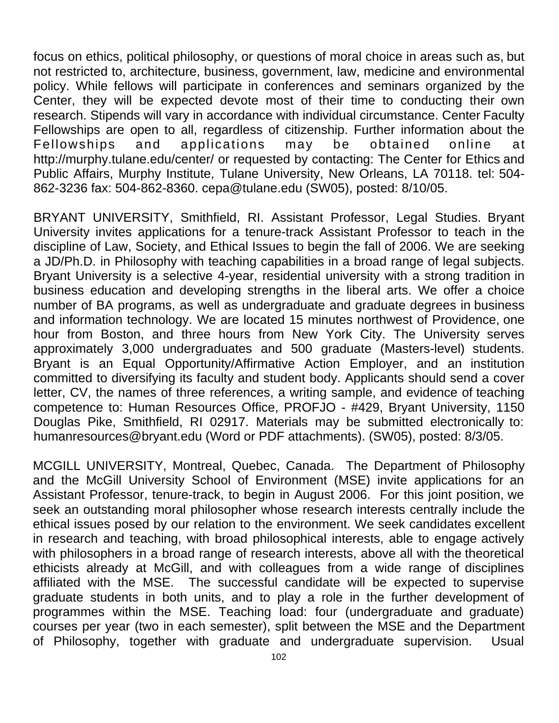focus on ethics, political philosophy, or questions of moral choice in areas such as, but not restricted to, architecture, business, government, law, medicine and environmental policy. While fellows will participate in conferences and seminars organized by the Center, they will be expected devote most of their time to conducting their own research. Stipends will vary in accordance with individual circumstance. Center Faculty Fellowships are open to all, regardless of citizenship. Further information about the Fellowships and applications may be obtained online at http://murphy.tulane.edu/center/ or requested by contacting: The Center for Ethics and Public Affairs, Murphy Institute, Tulane University, New Orleans, LA 70118. tel: 504- 862-3236 fax: 504-862-8360. cepa@tulane.edu (SW05), posted: 8/10/05.

BRYANT UNIVERSITY, Smithfield, RI. Assistant Professor, Legal Studies. Bryant University invites applications for a tenure-track Assistant Professor to teach in the discipline of Law, Society, and Ethical Issues to begin the fall of 2006. We are seeking a JD/Ph.D. in Philosophy with teaching capabilities in a broad range of legal subjects. Bryant University is a selective 4-year, residential university with a strong tradition in business education and developing strengths in the liberal arts. We offer a choice number of BA programs, as well as undergraduate and graduate degrees in business and information technology. We are located 15 minutes northwest of Providence, one hour from Boston, and three hours from New York City. The University serves approximately 3,000 undergraduates and 500 graduate (Masters-level) students. Bryant is an Equal Opportunity/Affirmative Action Employer, and an institution committed to diversifying its faculty and student body. Applicants should send a cover letter, CV, the names of three references, a writing sample, and evidence of teaching competence to: Human Resources Office, PROFJO - #429, Bryant University, 1150 Douglas Pike, Smithfield, RI 02917. Materials may be submitted electronically to: humanresources@bryant.edu (Word or PDF attachments). (SW05), posted: 8/3/05.

MCGILL UNIVERSITY, Montreal, Quebec, Canada. The Department of Philosophy and the McGill University School of Environment (MSE) invite applications for an Assistant Professor, tenure-track, to begin in August 2006. For this joint position, we seek an outstanding moral philosopher whose research interests centrally include the ethical issues posed by our relation to the environment. We seek candidates excellent in research and teaching, with broad philosophical interests, able to engage actively with philosophers in a broad range of research interests, above all with the theoretical ethicists already at McGill, and with colleagues from a wide range of disciplines affiliated with the MSE. The successful candidate will be expected to supervise graduate students in both units, and to play a role in the further development of programmes within the MSE. Teaching load: four (undergraduate and graduate) courses per year (two in each semester), split between the MSE and the Department of Philosophy, together with graduate and undergraduate supervision. Usual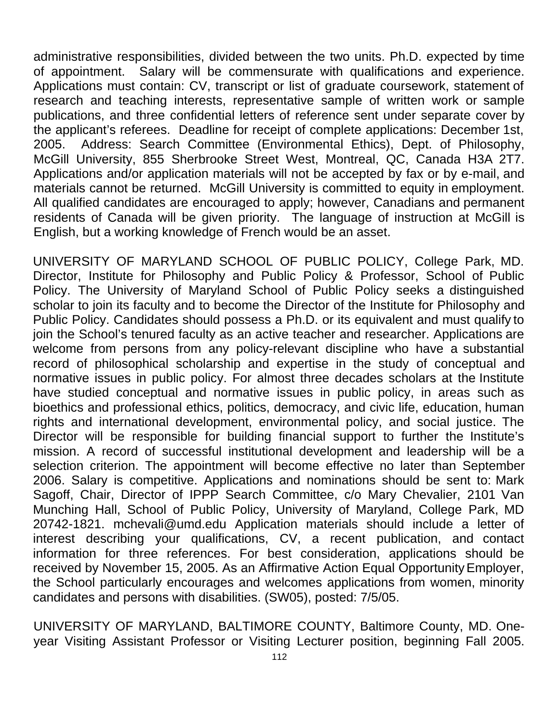administrative responsibilities, divided between the two units. Ph.D. expected by time of appointment. Salary will be commensurate with qualifications and experience. Applications must contain: CV, transcript or list of graduate coursework, statement of research and teaching interests, representative sample of written work or sample publications, and three confidential letters of reference sent under separate cover by the applicant's referees. Deadline for receipt of complete applications: December 1st, 2005. Address: Search Committee (Environmental Ethics), Dept. of Philosophy, McGill University, 855 Sherbrooke Street West, Montreal, QC, Canada H3A 2T7. Applications and/or application materials will not be accepted by fax or by e-mail, and materials cannot be returned. McGill University is committed to equity in employment. All qualified candidates are encouraged to apply; however, Canadians and permanent residents of Canada will be given priority. The language of instruction at McGill is English, but a working knowledge of French would be an asset.

UNIVERSITY OF MARYLAND SCHOOL OF PUBLIC POLICY, College Park, MD. Director, Institute for Philosophy and Public Policy & Professor, School of Public Policy. The University of Maryland School of Public Policy seeks a distinguished scholar to join its faculty and to become the Director of the Institute for Philosophy and Public Policy. Candidates should possess a Ph.D. or its equivalent and must qualify to join the School's tenured faculty as an active teacher and researcher. Applications are welcome from persons from any policy-relevant discipline who have a substantial record of philosophical scholarship and expertise in the study of conceptual and normative issues in public policy. For almost three decades scholars at the Institute have studied conceptual and normative issues in public policy, in areas such as bioethics and professional ethics, politics, democracy, and civic life, education, human rights and international development, environmental policy, and social justice. The Director will be responsible for building financial support to further the Institute's mission. A record of successful institutional development and leadership will be a selection criterion. The appointment will become effective no later than September 2006. Salary is competitive. Applications and nominations should be sent to: Mark Sagoff, Chair, Director of IPPP Search Committee, c/o Mary Chevalier, 2101 Van Munching Hall, School of Public Policy, University of Maryland, College Park, MD 20742-1821. mchevali@umd.edu Application materials should include a letter of interest describing your qualifications, CV, a recent publication, and contact information for three references. For best consideration, applications should be received by November 15, 2005. As an Affirmative Action Equal Opportunity Employer, the School particularly encourages and welcomes applications from women, minority candidates and persons with disabilities. (SW05), posted: 7/5/05.

UNIVERSITY OF MARYLAND, BALTIMORE COUNTY, Baltimore County, MD. Oneyear Visiting Assistant Professor or Visiting Lecturer position, beginning Fall 2005.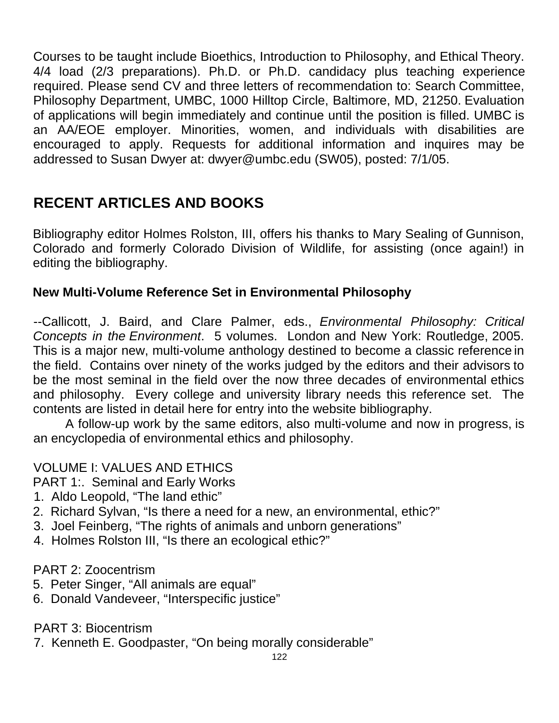Courses to be taught include Bioethics, Introduction to Philosophy, and Ethical Theory. 4/4 load (2/3 preparations). Ph.D. or Ph.D. candidacy plus teaching experience required. Please send CV and three letters of recommendation to: Search Committee, Philosophy Department, UMBC, 1000 Hilltop Circle, Baltimore, MD, 21250. Evaluation of applications will begin immediately and continue until the position is filled. UMBC is an AA/EOE employer. Minorities, women, and individuals with disabilities are encouraged to apply. Requests for additional information and inquires may be addressed to Susan Dwyer at: dwyer@umbc.edu (SW05), posted: 7/1/05.

# **RECENT ARTICLES AND BOOKS**

Bibliography editor Holmes Rolston, III, offers his thanks to Mary Sealing of Gunnison, Colorado and formerly Colorado Division of Wildlife, for assisting (once again!) in editing the bibliography.

## **New Multi-Volume Reference Set in Environmental Philosophy**

--Callicott, J. Baird, and Clare Palmer, eds., *Environmental Philosophy: Critical Concepts in the Environment*. 5 volumes. London and New York: Routledge, 2005. This is a major new, multi-volume anthology destined to become a classic reference in the field. Contains over ninety of the works judged by the editors and their advisors to be the most seminal in the field over the now three decades of environmental ethics and philosophy. Every college and university library needs this reference set. The contents are listed in detail here for entry into the website bibliography.

A follow-up work by the same editors, also multi-volume and now in progress, is an encyclopedia of environmental ethics and philosophy.

## VOLUME I: VALUES AND ETHICS

PART 1:. Seminal and Early Works

- 1. Aldo Leopold, "The land ethic"
- 2. Richard Sylvan, "Is there a need for a new, an environmental, ethic?"
- 3. Joel Feinberg, "The rights of animals and unborn generations"
- 4. Holmes Rolston III, "Is there an ecological ethic?"

#### PART 2: Zoocentrism

- 5. Peter Singer, "All animals are equal"
- 6. Donald Vandeveer, "Interspecific justice"

PART 3: Biocentrism

7. Kenneth E. Goodpaster, "On being morally considerable"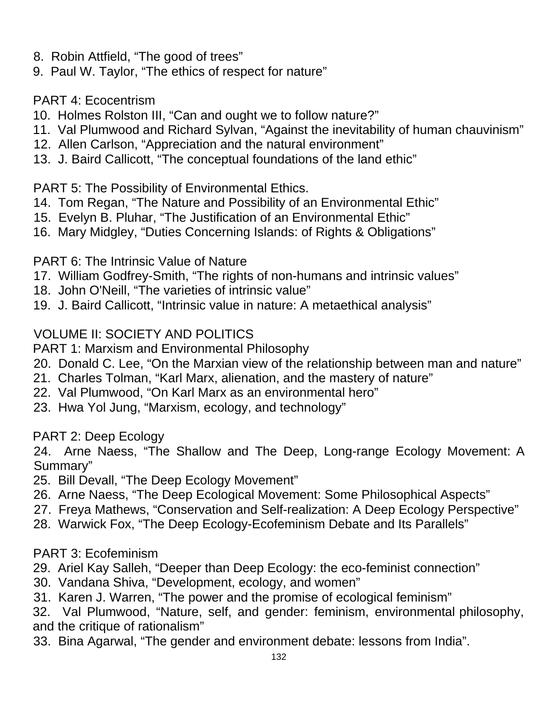- 8. Robin Attfield, "The good of trees"
- 9. Paul W. Taylor, "The ethics of respect for nature"

## PART 4: Ecocentrism

- 10. Holmes Rolston III, "Can and ought we to follow nature?"
- 11. Val Plumwood and Richard Sylvan, "Against the inevitability of human chauvinism"
- 12. Allen Carlson, "Appreciation and the natural environment"
- 13. J. Baird Callicott, "The conceptual foundations of the land ethic"

#### PART 5: The Possibility of Environmental Ethics.

- 14. Tom Regan, "The Nature and Possibility of an Environmental Ethic"
- 15. Evelyn B. Pluhar, "The Justification of an Environmental Ethic"
- 16. Mary Midgley, "Duties Concerning Islands: of Rights & Obligations"

#### PART 6: The Intrinsic Value of Nature

- 17. William Godfrey-Smith, "The rights of non-humans and intrinsic values"
- 18. John O'Neill, "The varieties of intrinsic value"
- 19. J. Baird Callicott, "Intrinsic value in nature: A metaethical analysis"

## VOLUME II: SOCIETY AND POLITICS

PART 1: Marxism and Environmental Philosophy

- 20. Donald C. Lee, "On the Marxian view of the relationship between man and nature"
- 21. Charles Tolman, "Karl Marx, alienation, and the mastery of nature"
- 22. Val Plumwood, "On Karl Marx as an environmental hero"
- 23. Hwa Yol Jung, "Marxism, ecology, and technology"

## PART 2: Deep Ecology

24. Arne Naess, "The Shallow and The Deep, Long-range Ecology Movement: A Summary"

- 25. Bill Devall, "The Deep Ecology Movement"
- 26. Arne Naess, "The Deep Ecological Movement: Some Philosophical Aspects"
- 27. Freya Mathews, "Conservation and Self-realization: A Deep Ecology Perspective"
- 28. Warwick Fox, "The Deep Ecology-Ecofeminism Debate and Its Parallels"

## PART 3: Ecofeminism

- 29. Ariel Kay Salleh, "Deeper than Deep Ecology: the eco-feminist connection"
- 30. Vandana Shiva, "Development, ecology, and women"
- 31. Karen J. Warren, "The power and the promise of ecological feminism"

32. Val Plumwood, "Nature, self, and gender: feminism, environmental philosophy, and the critique of rationalism"

33. Bina Agarwal, "The gender and environment debate: lessons from India".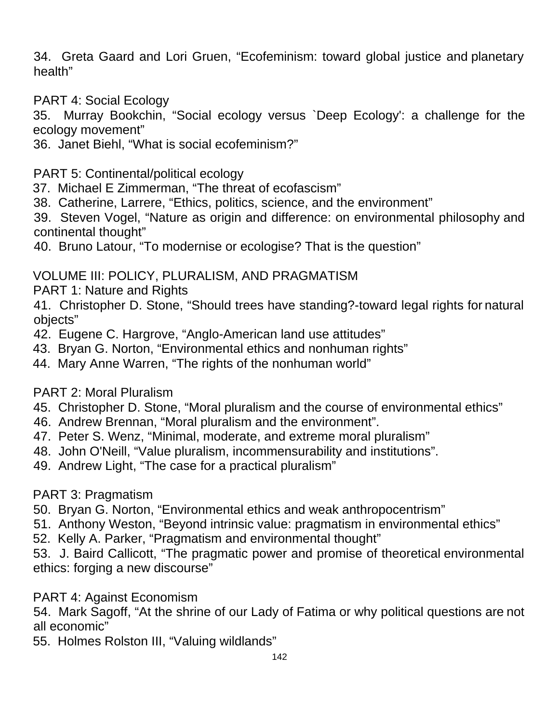34. Greta Gaard and Lori Gruen, "Ecofeminism: toward global justice and planetary health"

PART 4: Social Ecology

35. Murray Bookchin, "Social ecology versus `Deep Ecology': a challenge for the ecology movement"

36. Janet Biehl, "What is social ecofeminism?"

#### PART 5: Continental/political ecology

- 37. Michael E Zimmerman, "The threat of ecofascism"
- 38. Catherine, Larrere, "Ethics, politics, science, and the environment"

39. Steven Vogel, "Nature as origin and difference: on environmental philosophy and continental thought"

40. Bruno Latour, "To modernise or ecologise? That is the question"

## VOLUME III: POLICY, PLURALISM, AND PRAGMATISM

PART 1: Nature and Rights

41. Christopher D. Stone, "Should trees have standing?-toward legal rights for natural objects"

- 42. Eugene C. Hargrove, "Anglo-American land use attitudes"
- 43. Bryan G. Norton, "Environmental ethics and nonhuman rights"
- 44. Mary Anne Warren, "The rights of the nonhuman world"

## PART 2: Moral Pluralism

- 45. Christopher D. Stone, "Moral pluralism and the course of environmental ethics"
- 46. Andrew Brennan, "Moral pluralism and the environment".
- 47. Peter S. Wenz, "Minimal, moderate, and extreme moral pluralism"
- 48. John O'Neill, "Value pluralism, incommensurability and institutions".
- 49. Andrew Light, "The case for a practical pluralism"

## PART 3: Pragmatism

- 50. Bryan G. Norton, "Environmental ethics and weak anthropocentrism"
- 51. Anthony Weston, "Beyond intrinsic value: pragmatism in environmental ethics"
- 52. Kelly A. Parker, "Pragmatism and environmental thought"

53. J. Baird Callicott, "The pragmatic power and promise of theoretical environmental ethics: forging a new discourse"

## PART 4: Against Economism

54. Mark Sagoff, "At the shrine of our Lady of Fatima or why political questions are not all economic"

55. Holmes Rolston III, "Valuing wildlands"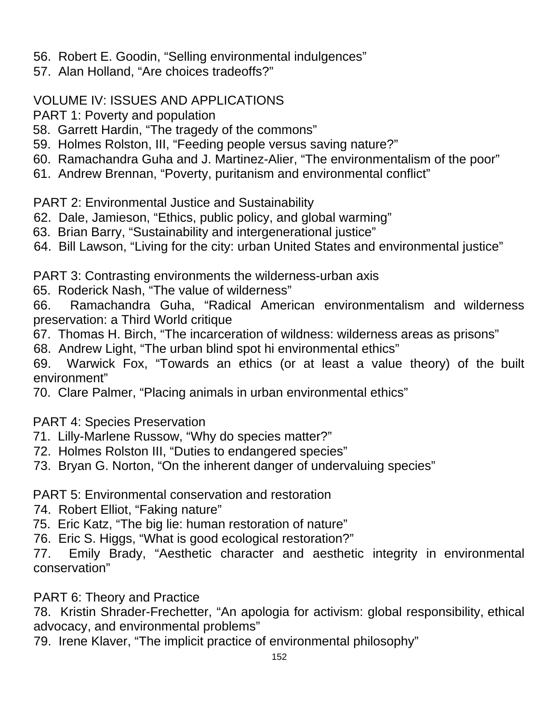- 56. Robert E. Goodin, "Selling environmental indulgences"
- 57. Alan Holland, "Are choices tradeoffs?"

#### VOLUME IV: ISSUES AND APPLICATIONS

- PART 1: Poverty and population
- 58. Garrett Hardin, "The tragedy of the commons"
- 59. Holmes Rolston, III, "Feeding people versus saving nature?"
- 60. Ramachandra Guha and J. Martinez-Alier, "The environmentalism of the poor"
- 61. Andrew Brennan, "Poverty, puritanism and environmental conflict"

PART 2: Environmental Justice and Sustainability

- 62. Dale, Jamieson, "Ethics, public policy, and global warming"
- 63. Brian Barry, "Sustainability and intergenerational justice"
- 64. Bill Lawson, "Living for the city: urban United States and environmental justice"

PART 3: Contrasting environments the wilderness-urban axis

65. Roderick Nash, "The value of wilderness"

66. Ramachandra Guha, "Radical American environmentalism and wilderness preservation: a Third World critique

67. Thomas H. Birch, "The incarceration of wildness: wilderness areas as prisons"

68. Andrew Light, "The urban blind spot hi environmental ethics"

69. Warwick Fox, "Towards an ethics (or at least a value theory) of the built environment"

70. Clare Palmer, "Placing animals in urban environmental ethics"

PART 4: Species Preservation

- 71. Lilly-Marlene Russow, "Why do species matter?"
- 72. Holmes Rolston III, "Duties to endangered species"
- 73. Bryan G. Norton, "On the inherent danger of undervaluing species"

PART 5: Environmental conservation and restoration

- 74. Robert Elliot, "Faking nature"
- 75. Eric Katz, "The big lie: human restoration of nature"
- 76. Eric S. Higgs, "What is good ecological restoration?"

77. Emily Brady, "Aesthetic character and aesthetic integrity in environmental conservation"

PART 6: Theory and Practice

78. Kristin Shrader-Frechetter, "An apologia for activism: global responsibility, ethical advocacy, and environmental problems"

79. Irene Klaver, "The implicit practice of environmental philosophy"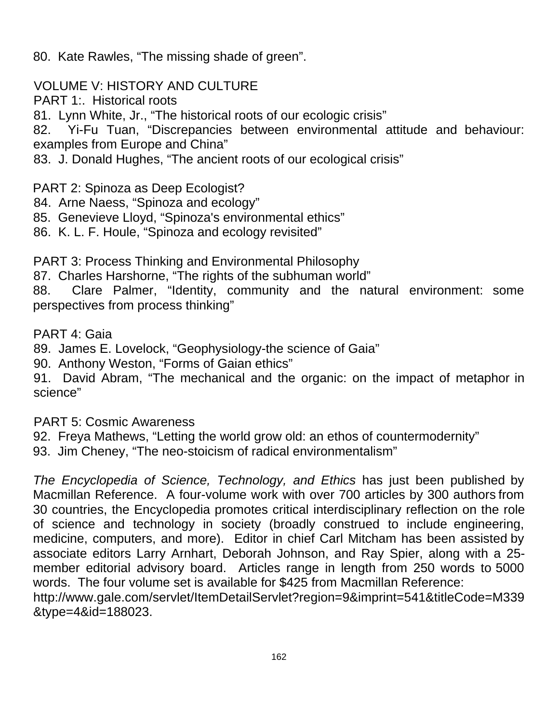80. Kate Rawles, "The missing shade of green".

VOLUME V: HISTORY AND CULTURE

PART 1: Historical roots

81. Lynn White, Jr., "The historical roots of our ecologic crisis"

82. Yi-Fu Tuan, "Discrepancies between environmental attitude and behaviour: examples from Europe and China"

83. J. Donald Hughes, "The ancient roots of our ecological crisis"

PART 2: Spinoza as Deep Ecologist?

84. Arne Naess, "Spinoza and ecology"

85. Genevieve Lloyd, "Spinoza's environmental ethics"

86. K. L. F. Houle, "Spinoza and ecology revisited"

PART 3: Process Thinking and Environmental Philosophy

87. Charles Harshorne, "The rights of the subhuman world"

88. Clare Palmer, "Identity, community and the natural environment: some perspectives from process thinking"

PART 4: Gaia

89. James E. Lovelock, "Geophysiology-the science of Gaia"

90. Anthony Weston, "Forms of Gaian ethics"

91. David Abram, "The mechanical and the organic: on the impact of metaphor in science"

PART 5: Cosmic Awareness

92. Freya Mathews, "Letting the world grow old: an ethos of countermodernity"

93. Jim Cheney, "The neo-stoicism of radical environmentalism"

*The Encyclopedia of Science, Technology, and Ethics* has just been published by Macmillan Reference. A four-volume work with over 700 articles by 300 authors from 30 countries, the Encyclopedia promotes critical interdisciplinary reflection on the role of science and technology in society (broadly construed to include engineering, medicine, computers, and more). Editor in chief Carl Mitcham has been assisted by associate editors Larry Arnhart, Deborah Johnson, and Ray Spier, along with a 25 member editorial advisory board. Articles range in length from 250 words to 5000 words. The four volume set is available for \$425 from Macmillan Reference:

http://www.gale.com/servlet/ItemDetailServlet?region=9&imprint=541&titleCode=M339 &type=4&id=188023.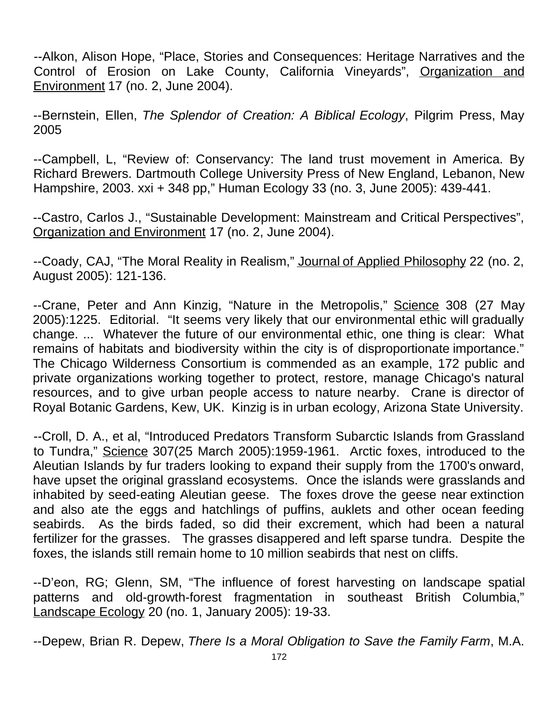--Alkon, Alison Hope, "Place, Stories and Consequences: Heritage Narratives and the Control of Erosion on Lake County, California Vineyards", Organization and Environment 17 (no. 2, June 2004).

--Bernstein, Ellen, *The Splendor of Creation: A Biblical Ecology*, Pilgrim Press, May 2005

--Campbell, L, "Review of: Conservancy: The land trust movement in America. By Richard Brewers. Dartmouth College University Press of New England, Lebanon, New Hampshire, 2003. xxi + 348 pp," Human Ecology 33 (no. 3, June 2005): 439-441.

--Castro, Carlos J., "Sustainable Development: Mainstream and Critical Perspectives", Organization and Environment 17 (no. 2, June 2004).

--Coady, CAJ, "The Moral Reality in Realism," Journal of Applied Philosophy 22 (no. 2, August 2005): 121-136.

--Crane, Peter and Ann Kinzig, "Nature in the Metropolis," Science 308 (27 May 2005):1225. Editorial. "It seems very likely that our environmental ethic will gradually change. ... Whatever the future of our environmental ethic, one thing is clear: What remains of habitats and biodiversity within the city is of disproportionate importance." The Chicago Wilderness Consortium is commended as an example, 172 public and private organizations working together to protect, restore, manage Chicago's natural resources, and to give urban people access to nature nearby. Crane is director of Royal Botanic Gardens, Kew, UK. Kinzig is in urban ecology, Arizona State University.

--Croll, D. A., et al, "Introduced Predators Transform Subarctic Islands from Grassland to Tundra," Science 307(25 March 2005):1959-1961. Arctic foxes, introduced to the Aleutian Islands by fur traders looking to expand their supply from the 1700's onward, have upset the original grassland ecosystems. Once the islands were grasslands and inhabited by seed-eating Aleutian geese. The foxes drove the geese near extinction and also ate the eggs and hatchlings of puffins, auklets and other ocean feeding seabirds. As the birds faded, so did their excrement, which had been a natural fertilizer for the grasses. The grasses disappered and left sparse tundra. Despite the foxes, the islands still remain home to 10 million seabirds that nest on cliffs.

--D'eon, RG; Glenn, SM, "The influence of forest harvesting on landscape spatial patterns and old-growth-forest fragmentation in southeast British Columbia," Landscape Ecology 20 (no. 1, January 2005): 19-33.

--Depew, Brian R. Depew, *There Is a Moral Obligation to Save the Family Farm*, M.A.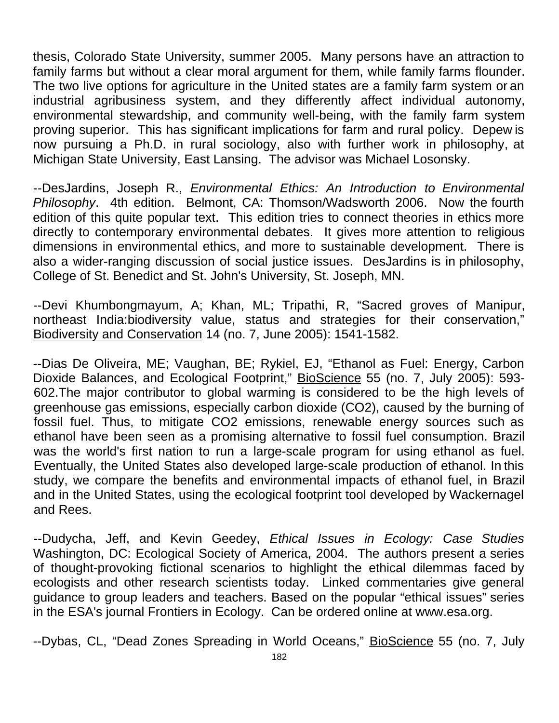thesis, Colorado State University, summer 2005. Many persons have an attraction to family farms but without a clear moral argument for them, while family farms flounder. The two live options for agriculture in the United states are a family farm system or an industrial agribusiness system, and they differently affect individual autonomy, environmental stewardship, and community well-being, with the family farm system proving superior. This has significant implications for farm and rural policy. Depew is now pursuing a Ph.D. in rural sociology, also with further work in philosophy, at Michigan State University, East Lansing. The advisor was Michael Losonsky.

--DesJardins, Joseph R., *Environmental Ethics: An Introduction to Environmental Philosophy*. 4th edition. Belmont, CA: Thomson/Wadsworth 2006. Now the fourth edition of this quite popular text. This edition tries to connect theories in ethics more directly to contemporary environmental debates. It gives more attention to religious dimensions in environmental ethics, and more to sustainable development. There is also a wider-ranging discussion of social justice issues. DesJardins is in philosophy, College of St. Benedict and St. John's University, St. Joseph, MN.

--Devi Khumbongmayum, A; Khan, ML; Tripathi, R, "Sacred groves of Manipur, northeast India:biodiversity value, status and strategies for their conservation," Biodiversity and Conservation 14 (no. 7, June 2005): 1541-1582.

--Dias De Oliveira, ME; Vaughan, BE; Rykiel, EJ, "Ethanol as Fuel: Energy, Carbon Dioxide Balances, and Ecological Footprint," BioScience 55 (no. 7, July 2005): 593-602.The major contributor to global warming is considered to be the high levels of greenhouse gas emissions, especially carbon dioxide (CO2), caused by the burning of fossil fuel. Thus, to mitigate CO2 emissions, renewable energy sources such as ethanol have been seen as a promising alternative to fossil fuel consumption. Brazil was the world's first nation to run a large-scale program for using ethanol as fuel. Eventually, the United States also developed large-scale production of ethanol. In this study, we compare the benefits and environmental impacts of ethanol fuel, in Brazil and in the United States, using the ecological footprint tool developed by Wackernagel and Rees.

--Dudycha, Jeff, and Kevin Geedey, *Ethical Issues in Ecology: Case Studies* Washington, DC: Ecological Society of America, 2004. The authors present a series of thought-provoking fictional scenarios to highlight the ethical dilemmas faced by ecologists and other research scientists today. Linked commentaries give general guidance to group leaders and teachers. Based on the popular "ethical issues" series in the ESA's journal Frontiers in Ecology. Can be ordered online at www.esa.org.

--Dybas, CL, "Dead Zones Spreading in World Oceans," BioScience 55 (no. 7, July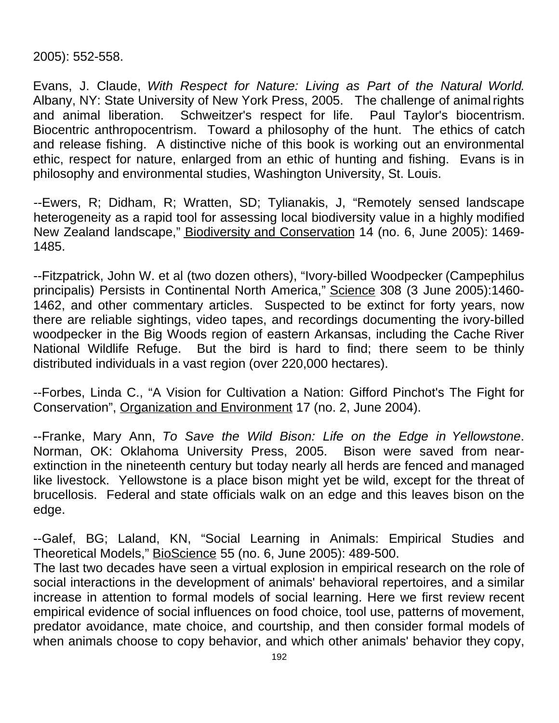2005): 552-558.

Evans, J. Claude, *With Respect for Nature: Living as Part of the Natural World*. Albany, NY: State University of New York Press, 2005. The challenge of animal rights and animal liberation. Schweitzer's respect for life. Paul Taylor's biocentrism. Biocentric anthropocentrism. Toward a philosophy of the hunt. The ethics of catch and release fishing. A distinctive niche of this book is working out an environmental ethic, respect for nature, enlarged from an ethic of hunting and fishing. Evans is in philosophy and environmental studies, Washington University, St. Louis.

--Ewers, R; Didham, R; Wratten, SD; Tylianakis, J, "Remotely sensed landscape heterogeneity as a rapid tool for assessing local biodiversity value in a highly modified New Zealand landscape," Biodiversity and Conservation 14 (no. 6, June 2005): 1469- 1485.

--Fitzpatrick, John W. et al (two dozen others), "Ivory-billed Woodpecker (Campephilus principalis) Persists in Continental North America," Science 308 (3 June 2005):1460- 1462, and other commentary articles. Suspected to be extinct for forty years, now there are reliable sightings, video tapes, and recordings documenting the ivory-billed woodpecker in the Big Woods region of eastern Arkansas, including the Cache River National Wildlife Refuge. But the bird is hard to find; there seem to be thinly distributed individuals in a vast region (over 220,000 hectares).

--Forbes, Linda C., "A Vision for Cultivation a Nation: Gifford Pinchot's The Fight for Conservation", Organization and Environment 17 (no. 2, June 2004).

--Franke, Mary Ann, *To Save the Wild Bison: Life on the Edge in Yellowstone*. Norman, OK: Oklahoma University Press, 2005. Bison were saved from nearextinction in the nineteenth century but today nearly all herds are fenced and managed like livestock. Yellowstone is a place bison might yet be wild, except for the threat of brucellosis. Federal and state officials walk on an edge and this leaves bison on the edge.

--Galef, BG; Laland, KN, "Social Learning in Animals: Empirical Studies and Theoretical Models," BioScience 55 (no. 6, June 2005): 489-500.

The last two decades have seen a virtual explosion in empirical research on the role of social interactions in the development of animals' behavioral repertoires, and a similar increase in attention to formal models of social learning. Here we first review recent empirical evidence of social influences on food choice, tool use, patterns of movement, predator avoidance, mate choice, and courtship, and then consider formal models of when animals choose to copy behavior, and which other animals' behavior they copy,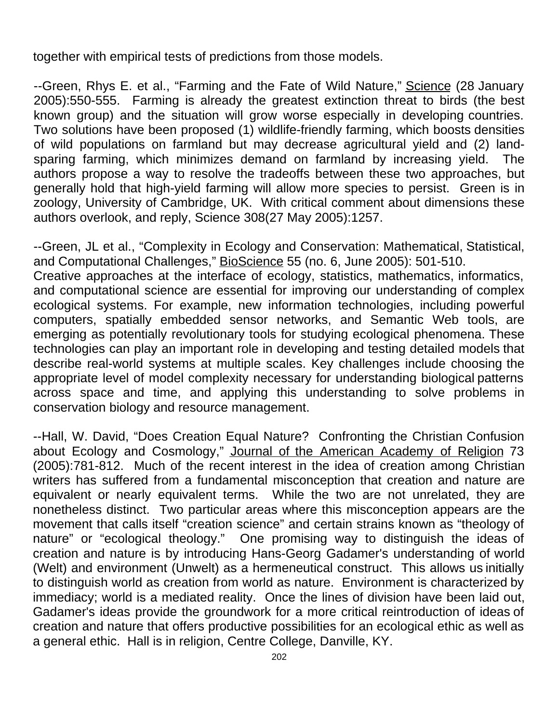together with empirical tests of predictions from those models.

--Green, Rhys E. et al., "Farming and the Fate of Wild Nature," Science (28 January 2005):550-555. Farming is already the greatest extinction threat to birds (the best known group) and the situation will grow worse especially in developing countries. Two solutions have been proposed (1) wildlife-friendly farming, which boosts densities of wild populations on farmland but may decrease agricultural yield and (2) landsparing farming, which minimizes demand on farmland by increasing yield. The authors propose a way to resolve the tradeoffs between these two approaches, but generally hold that high-yield farming will allow more species to persist. Green is in zoology, University of Cambridge, UK. With critical comment about dimensions these authors overlook, and reply, Science 308(27 May 2005):1257.

--Green, JL et al., "Complexity in Ecology and Conservation: Mathematical, Statistical, and Computational Challenges," BioScience 55 (no. 6, June 2005): 501-510. Creative approaches at the interface of ecology, statistics, mathematics, informatics, and computational science are essential for improving our understanding of complex ecological systems. For example, new information technologies, including powerful computers, spatially embedded sensor networks, and Semantic Web tools, are emerging as potentially revolutionary tools for studying ecological phenomena. These technologies can play an important role in developing and testing detailed models that describe real-world systems at multiple scales. Key challenges include choosing the appropriate level of model complexity necessary for understanding biological patterns across space and time, and applying this understanding to solve problems in conservation biology and resource management.

--Hall, W. David, "Does Creation Equal Nature? Confronting the Christian Confusion about Ecology and Cosmology," Journal of the American Academy of Religion 73 (2005):781-812. Much of the recent interest in the idea of creation among Christian writers has suffered from a fundamental misconception that creation and nature are equivalent or nearly equivalent terms. While the two are not unrelated, they are nonetheless distinct. Two particular areas where this misconception appears are the movement that calls itself "creation science" and certain strains known as "theology of nature" or "ecological theology." One promising way to distinguish the ideas of creation and nature is by introducing Hans-Georg Gadamer's understanding of world (Welt) and environment (Unwelt) as a hermeneutical construct. This allows us initially to distinguish world as creation from world as nature. Environment is characterized by immediacy; world is a mediated reality. Once the lines of division have been laid out, Gadamer's ideas provide the groundwork for a more critical reintroduction of ideas of creation and nature that offers productive possibilities for an ecological ethic as well as a general ethic. Hall is in religion, Centre College, Danville, KY.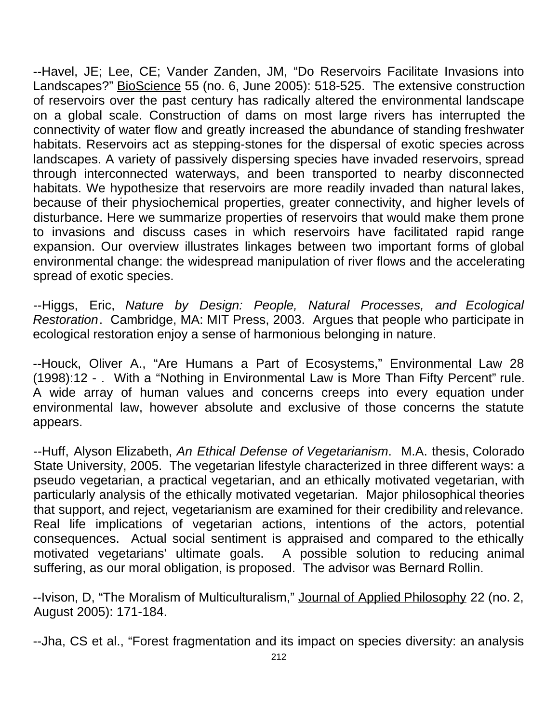--Havel, JE; Lee, CE; Vander Zanden, JM, "Do Reservoirs Facilitate Invasions into Landscapes?" BioScience 55 (no. 6, June 2005): 518-525. The extensive construction of reservoirs over the past century has radically altered the environmental landscape on a global scale. Construction of dams on most large rivers has interrupted the connectivity of water flow and greatly increased the abundance of standing freshwater habitats. Reservoirs act as stepping-stones for the dispersal of exotic species across landscapes. A variety of passively dispersing species have invaded reservoirs, spread through interconnected waterways, and been transported to nearby disconnected habitats. We hypothesize that reservoirs are more readily invaded than natural lakes, because of their physiochemical properties, greater connectivity, and higher levels of disturbance. Here we summarize properties of reservoirs that would make them prone to invasions and discuss cases in which reservoirs have facilitated rapid range expansion. Our overview illustrates linkages between two important forms of global environmental change: the widespread manipulation of river flows and the accelerating spread of exotic species.

--Higgs, Eric, *Nature by Design: People, Natural Processes, and Ecological Restoration*. Cambridge, MA: MIT Press, 2003. Argues that people who participate in ecological restoration enjoy a sense of harmonious belonging in nature.

--Houck, Oliver A., "Are Humans a Part of Ecosystems," Environmental Law 28 (1998):12 - . With a "Nothing in Environmental Law is More Than Fifty Percent" rule. A wide array of human values and concerns creeps into every equation under environmental law, however absolute and exclusive of those concerns the statute appears.

--Huff, Alyson Elizabeth, *An Ethical Defense of Vegetarianism*. M.A. thesis, Colorado State University, 2005. The vegetarian lifestyle characterized in three different ways: a pseudo vegetarian, a practical vegetarian, and an ethically motivated vegetarian, with particularly analysis of the ethically motivated vegetarian. Major philosophical theories that support, and reject, vegetarianism are examined for their credibility and relevance. Real life implications of vegetarian actions, intentions of the actors, potential consequences. Actual social sentiment is appraised and compared to the ethically motivated vegetarians' ultimate goals. A possible solution to reducing animal suffering, as our moral obligation, is proposed. The advisor was Bernard Rollin.

--Ivison, D, "The Moralism of Multiculturalism," Journal of Applied Philosophy 22 (no. 2, August 2005): 171-184.

--Jha, CS et al., "Forest fragmentation and its impact on species diversity: an analysis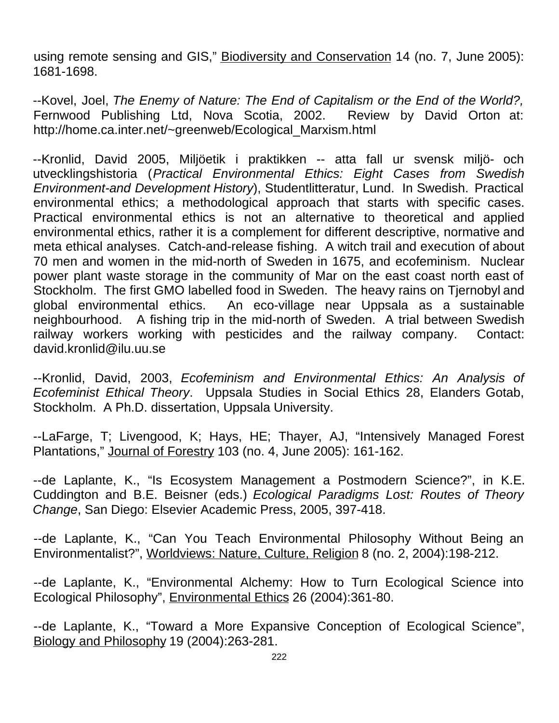using remote sensing and GIS," Biodiversity and Conservation 14 (no. 7, June 2005): 1681-1698.

--Kovel, Joel, *The Enemy of Nature: The End of Capitalism or the End of the World?,* Fernwood Publishing Ltd, Nova Scotia, 2002. Review by David Orton at: http://home.ca.inter.net/~greenweb/Ecological\_Marxism.html

--Kronlid, David 2005, Miljöetik i praktikken -- atta fall ur svensk miljö- och utvecklingshistoria (*Practical Environmental Ethics: Eight Cases from Swedish Environment-and Development History*), Studentlitteratur, Lund. In Swedish. Practical environmental ethics; a methodological approach that starts with specific cases. Practical environmental ethics is not an alternative to theoretical and applied environmental ethics, rather it is a complement for different descriptive, normative and meta ethical analyses. Catch-and-release fishing. A witch trail and execution of about 70 men and women in the mid-north of Sweden in 1675, and ecofeminism. Nuclear power plant waste storage in the community of Mar on the east coast north east of Stockholm. The first GMO labelled food in Sweden. The heavy rains on Tjernobyl and global environmental ethics. An eco-village near Uppsala as a sustainable neighbourhood. A fishing trip in the mid-north of Sweden. A trial between Swedish railway workers working with pesticides and the railway company. Contact: david.kronlid@ilu.uu.se

--Kronlid, David, 2003, *Ecofeminism and Environmental Ethics: An Analysis of Ecofeminist Ethical Theory*. Uppsala Studies in Social Ethics 28, Elanders Gotab, Stockholm. A Ph.D. dissertation, Uppsala University.

--LaFarge, T; Livengood, K; Hays, HE; Thayer, AJ, "Intensively Managed Forest Plantations," Journal of Forestry 103 (no. 4, June 2005): 161-162.

--de Laplante, K., "Is Ecosystem Management a Postmodern Science?", in K.E. Cuddington and B.E. Beisner (eds.) *Ecological Paradigms Lost: Routes of Theory Change*, San Diego: Elsevier Academic Press, 2005, 397-418.

--de Laplante, K., "Can You Teach Environmental Philosophy Without Being an Environmentalist?", Worldviews: Nature, Culture, Religion 8 (no. 2, 2004):198-212.

--de Laplante, K., "Environmental Alchemy: How to Turn Ecological Science into Ecological Philosophy", Environmental Ethics 26 (2004):361-80.

--de Laplante, K., "Toward a More Expansive Conception of Ecological Science", Biology and Philosophy 19 (2004):263-281.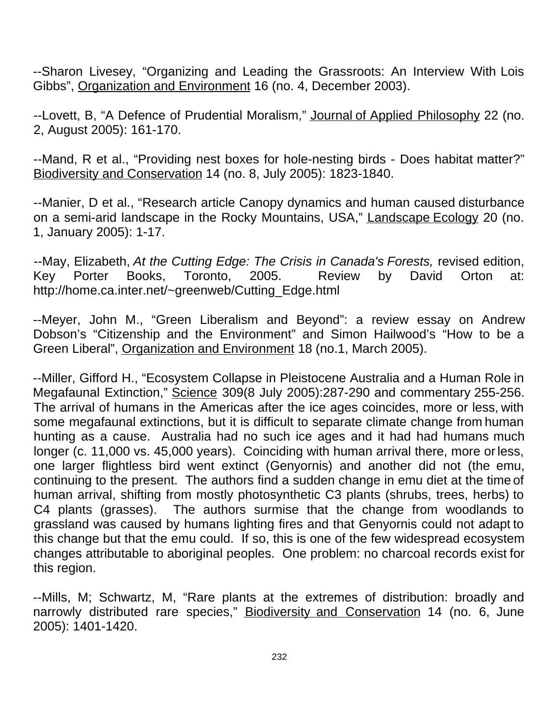--Sharon Livesey, "Organizing and Leading the Grassroots: An Interview With Lois Gibbs", Organization and Environment 16 (no. 4, December 2003).

--Lovett, B, "A Defence of Prudential Moralism," Journal of Applied Philosophy 22 (no. 2, August 2005): 161-170.

--Mand, R et al., "Providing nest boxes for hole-nesting birds - Does habitat matter?" Biodiversity and Conservation 14 (no. 8, July 2005): 1823-1840.

--Manier, D et al., "Research article Canopy dynamics and human caused disturbance on a semi-arid landscape in the Rocky Mountains, USA," Landscape Ecology 20 (no. 1, January 2005): 1-17.

--May, Elizabeth, *At the Cutting Edge: The Crisis in Canada's Forests,* revised edition, Key Porter Books, Toronto, 2005. Review by David Orton at: http://home.ca.inter.net/~greenweb/Cutting\_Edge.html

--Meyer, John M., "Green Liberalism and Beyond": a review essay on Andrew Dobson's "Citizenship and the Environment" and Simon Hailwood's "How to be a Green Liberal", Organization and Environment 18 (no.1, March 2005).

--Miller, Gifford H., "Ecosystem Collapse in Pleistocene Australia and a Human Role in Megafaunal Extinction," Science 309(8 July 2005):287-290 and commentary 255-256. The arrival of humans in the Americas after the ice ages coincides, more or less, with some megafaunal extinctions, but it is difficult to separate climate change from human hunting as a cause. Australia had no such ice ages and it had had humans much longer (c. 11,000 vs. 45,000 years). Coinciding with human arrival there, more or less, one larger flightless bird went extinct (Genyornis) and another did not (the emu, continuing to the present. The authors find a sudden change in emu diet at the time of human arrival, shifting from mostly photosynthetic C3 plants (shrubs, trees, herbs) to C4 plants (grasses). The authors surmise that the change from woodlands to grassland was caused by humans lighting fires and that Genyornis could not adapt to this change but that the emu could. If so, this is one of the few widespread ecosystem changes attributable to aboriginal peoples. One problem: no charcoal records exist for this region.

--Mills, M; Schwartz, M, "Rare plants at the extremes of distribution: broadly and narrowly distributed rare species," **Biodiversity and Conservation 14** (no. 6, June 2005): 1401-1420.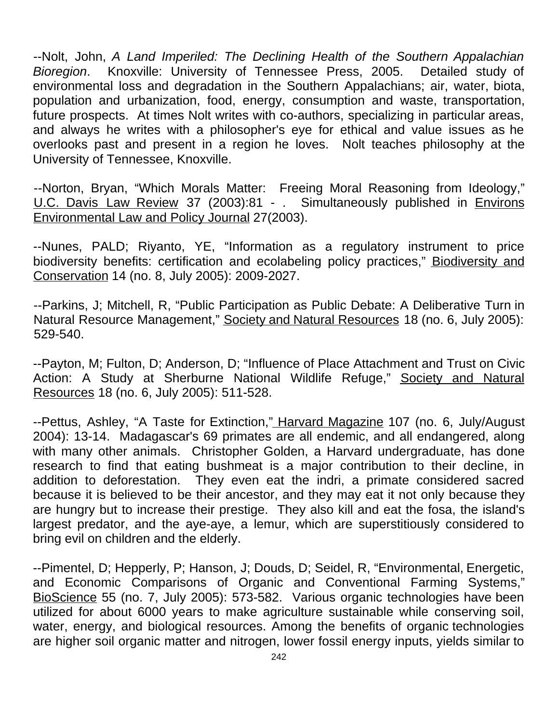--Nolt, John, *A Land Imperiled: The Declining Health of the Southern Appalachian Bioregion*. Knoxville: University of Tennessee Press, 2005. Detailed study of environmental loss and degradation in the Southern Appalachians; air, water, biota, population and urbanization, food, energy, consumption and waste, transportation, future prospects. At times Nolt writes with co-authors, specializing in particular areas, and always he writes with a philosopher's eye for ethical and value issues as he overlooks past and present in a region he loves. Nolt teaches philosophy at the University of Tennessee, Knoxville.

--Norton, Bryan, "Which Morals Matter: Freeing Moral Reasoning from Ideology," U.C. Davis Law Review 37 (2003):81 - . Simultaneously published in Environs Environmental Law and Policy Journal 27(2003).

--Nunes, PALD; Riyanto, YE, "Information as a regulatory instrument to price biodiversity benefits: certification and ecolabeling policy practices," Biodiversity and Conservation 14 (no. 8, July 2005): 2009-2027.

--Parkins, J; Mitchell, R, "Public Participation as Public Debate: A Deliberative Turn in Natural Resource Management," Society and Natural Resources 18 (no. 6, July 2005): 529-540.

--Payton, M; Fulton, D; Anderson, D; "Influence of Place Attachment and Trust on Civic Action: A Study at Sherburne National Wildlife Refuge," Society and Natural Resources 18 (no. 6, July 2005): 511-528.

--Pettus, Ashley, "A Taste for Extinction," Harvard Magazine 107 (no. 6, July/August 2004): 13-14. Madagascar's 69 primates are all endemic, and all endangered, along with many other animals. Christopher Golden, a Harvard undergraduate, has done research to find that eating bushmeat is a major contribution to their decline, in addition to deforestation. They even eat the indri, a primate considered sacred because it is believed to be their ancestor, and they may eat it not only because they are hungry but to increase their prestige. They also kill and eat the fosa, the island's largest predator, and the aye-aye, a lemur, which are superstitiously considered to bring evil on children and the elderly.

--Pimentel, D; Hepperly, P; Hanson, J; Douds, D; Seidel, R, "Environmental, Energetic, and Economic Comparisons of Organic and Conventional Farming Systems," BioScience 55 (no. 7, July 2005): 573-582. Various organic technologies have been utilized for about 6000 years to make agriculture sustainable while conserving soil, water, energy, and biological resources. Among the benefits of organic technologies are higher soil organic matter and nitrogen, lower fossil energy inputs, yields similar to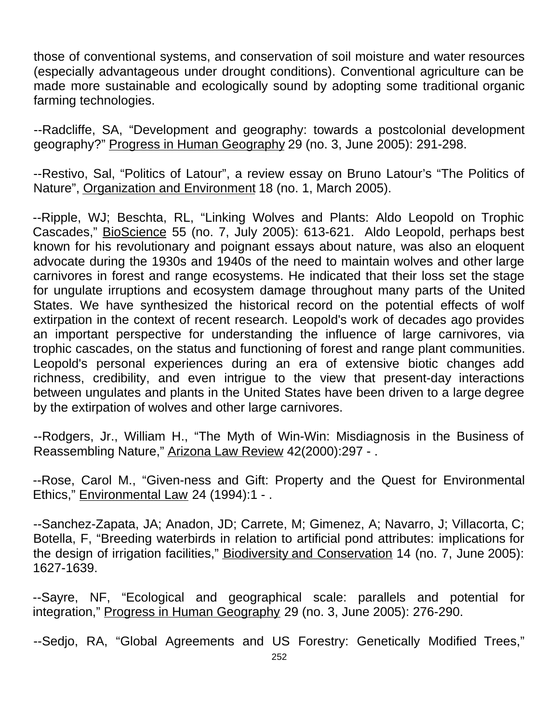those of conventional systems, and conservation of soil moisture and water resources (especially advantageous under drought conditions). Conventional agriculture can be made more sustainable and ecologically sound by adopting some traditional organic farming technologies.

--Radcliffe, SA, "Development and geography: towards a postcolonial development geography?" Progress in Human Geography 29 (no. 3, June 2005): 291-298.

--Restivo, Sal, "Politics of Latour", a review essay on Bruno Latour's "The Politics of Nature", Organization and Environment 18 (no. 1, March 2005).

--Ripple, WJ; Beschta, RL, "Linking Wolves and Plants: Aldo Leopold on Trophic Cascades," BioScience 55 (no. 7, July 2005): 613-621. Aldo Leopold, perhaps best known for his revolutionary and poignant essays about nature, was also an eloquent advocate during the 1930s and 1940s of the need to maintain wolves and other large carnivores in forest and range ecosystems. He indicated that their loss set the stage for ungulate irruptions and ecosystem damage throughout many parts of the United States. We have synthesized the historical record on the potential effects of wolf extirpation in the context of recent research. Leopold's work of decades ago provides an important perspective for understanding the influence of large carnivores, via trophic cascades, on the status and functioning of forest and range plant communities. Leopold's personal experiences during an era of extensive biotic changes add richness, credibility, and even intrigue to the view that present-day interactions between ungulates and plants in the United States have been driven to a large degree by the extirpation of wolves and other large carnivores.

--Rodgers, Jr., William H., "The Myth of Win-Win: Misdiagnosis in the Business of Reassembling Nature," Arizona Law Review 42(2000):297 - .

--Rose, Carol M., "Given-ness and Gift: Property and the Quest for Environmental Ethics," Environmental Law 24 (1994):1 - .

--Sanchez-Zapata, JA; Anadon, JD; Carrete, M; Gimenez, A; Navarro, J; Villacorta, C; Botella, F, "Breeding waterbirds in relation to artificial pond attributes: implications for the design of irrigation facilities," Biodiversity and Conservation 14 (no. 7, June 2005): 1627-1639.

--Sayre, NF, "Ecological and geographical scale: parallels and potential for integration," Progress in Human Geography 29 (no. 3, June 2005): 276-290.

--Sedjo, RA, "Global Agreements and US Forestry: Genetically Modified Trees,"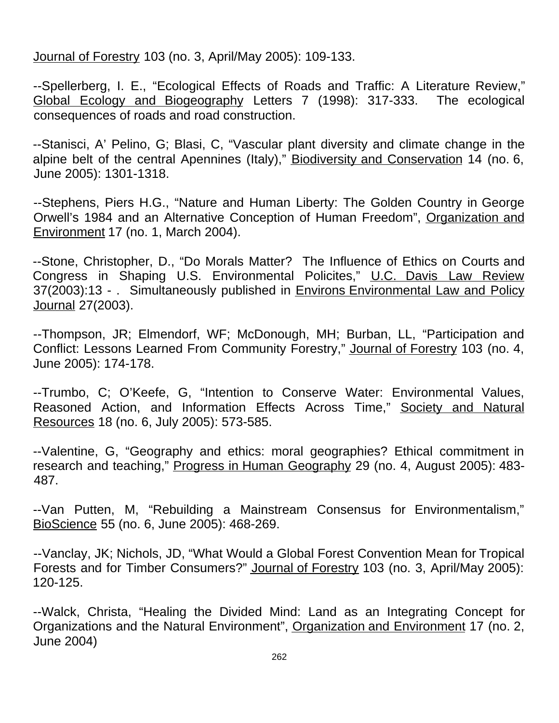Journal of Forestry 103 (no. 3, April/May 2005): 109-133.

--Spellerberg, I. E., "Ecological Effects of Roads and Traffic: A Literature Review," Global Ecology and Biogeography Letters 7 (1998): 317-333. The ecological consequences of roads and road construction.

--Stanisci, A' Pelino, G; Blasi, C, "Vascular plant diversity and climate change in the alpine belt of the central Apennines (Italy)," Biodiversity and Conservation 14 (no. 6, June 2005): 1301-1318.

--Stephens, Piers H.G., "Nature and Human Liberty: The Golden Country in George Orwell's 1984 and an Alternative Conception of Human Freedom", Organization and Environment 17 (no. 1, March 2004).

--Stone, Christopher, D., "Do Morals Matter? The Influence of Ethics on Courts and Congress in Shaping U.S. Environmental Policites," U.C. Davis Law Review 37(2003):13 - . Simultaneously published in Environs Environmental Law and Policy Journal 27(2003).

--Thompson, JR; Elmendorf, WF; McDonough, MH; Burban, LL, "Participation and Conflict: Lessons Learned From Community Forestry," Journal of Forestry 103 (no. 4, June 2005): 174-178.

--Trumbo, C; O'Keefe, G, "Intention to Conserve Water: Environmental Values, Reasoned Action, and Information Effects Across Time," Society and Natural Resources 18 (no. 6, July 2005): 573-585.

--Valentine, G, "Geography and ethics: moral geographies? Ethical commitment in research and teaching," Progress in Human Geography 29 (no. 4, August 2005): 483-487.

--Van Putten, M, "Rebuilding a Mainstream Consensus for Environmentalism," BioScience 55 (no. 6, June 2005): 468-269.

--Vanclay, JK; Nichols, JD, "What Would a Global Forest Convention Mean for Tropical Forests and for Timber Consumers?" Journal of Forestry 103 (no. 3, April/May 2005): 120-125.

--Walck, Christa, "Healing the Divided Mind: Land as an Integrating Concept for Organizations and the Natural Environment", Organization and Environment 17 (no. 2, June 2004)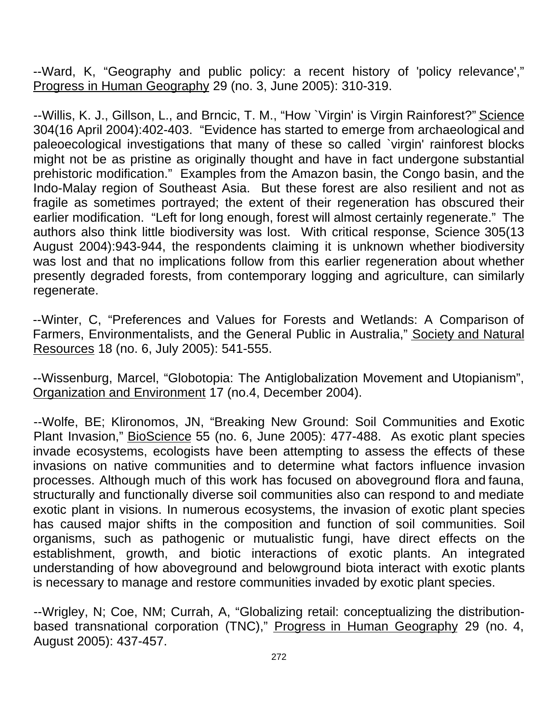--Ward, K, "Geography and public policy: a recent history of 'policy relevance'," Progress in Human Geography 29 (no. 3, June 2005): 310-319.

--Willis, K. J., Gillson, L., and Brncic, T. M., "How `Virgin' is Virgin Rainforest?" Science 304(16 April 2004):402-403. "Evidence has started to emerge from archaeological and paleoecological investigations that many of these so called `virgin' rainforest blocks might not be as pristine as originally thought and have in fact undergone substantial prehistoric modification." Examples from the Amazon basin, the Congo basin, and the Indo-Malay region of Southeast Asia. But these forest are also resilient and not as fragile as sometimes portrayed; the extent of their regeneration has obscured their earlier modification. "Left for long enough, forest will almost certainly regenerate." The authors also think little biodiversity was lost. With critical response, Science 305(13 August 2004):943-944, the respondents claiming it is unknown whether biodiversity was lost and that no implications follow from this earlier regeneration about whether presently degraded forests, from contemporary logging and agriculture, can similarly regenerate.

--Winter, C, "Preferences and Values for Forests and Wetlands: A Comparison of Farmers, Environmentalists, and the General Public in Australia," Society and Natural Resources 18 (no. 6, July 2005): 541-555.

--Wissenburg, Marcel, "Globotopia: The Antiglobalization Movement and Utopianism", Organization and Environment 17 (no.4, December 2004).

--Wolfe, BE; Klironomos, JN, "Breaking New Ground: Soil Communities and Exotic Plant Invasion," BioScience 55 (no. 6, June 2005): 477-488. As exotic plant species invade ecosystems, ecologists have been attempting to assess the effects of these invasions on native communities and to determine what factors influence invasion processes. Although much of this work has focused on aboveground flora and fauna, structurally and functionally diverse soil communities also can respond to and mediate exotic plant in visions. In numerous ecosystems, the invasion of exotic plant species has caused major shifts in the composition and function of soil communities. Soil organisms, such as pathogenic or mutualistic fungi, have direct effects on the establishment, growth, and biotic interactions of exotic plants. An integrated understanding of how aboveground and belowground biota interact with exotic plants is necessary to manage and restore communities invaded by exotic plant species.

--Wrigley, N; Coe, NM; Currah, A, "Globalizing retail: conceptualizing the distributionbased transnational corporation (TNC)," Progress in Human Geography 29 (no. 4, August 2005): 437-457.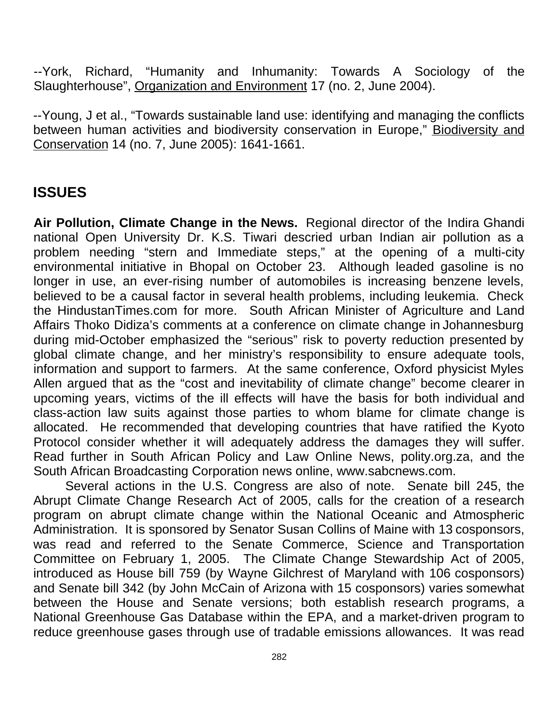--York, Richard, "Humanity and Inhumanity: Towards A Sociology of the Slaughterhouse", Organization and Environment 17 (no. 2, June 2004).

--Young, J et al., "Towards sustainable land use: identifying and managing the conflicts between human activities and biodiversity conservation in Europe," Biodiversity and Conservation 14 (no. 7, June 2005): 1641-1661.

## **ISSUES**

**Air Pollution, Climate Change in the News.** Regional director of the Indira Ghandi national Open University Dr. K.S. Tiwari descried urban Indian air pollution as a problem needing "stern and Immediate steps," at the opening of a multi-city environmental initiative in Bhopal on October 23. Although leaded gasoline is no longer in use, an ever-rising number of automobiles is increasing benzene levels, believed to be a causal factor in several health problems, including leukemia. Check the HindustanTimes.com for more. South African Minister of Agriculture and Land Affairs Thoko Didiza's comments at a conference on climate change in Johannesburg during mid-October emphasized the "serious" risk to poverty reduction presented by global climate change, and her ministry's responsibility to ensure adequate tools, information and support to farmers. At the same conference, Oxford physicist Myles Allen argued that as the "cost and inevitability of climate change" become clearer in upcoming years, victims of the ill effects will have the basis for both individual and class-action law suits against those parties to whom blame for climate change is allocated. He recommended that developing countries that have ratified the Kyoto Protocol consider whether it will adequately address the damages they will suffer. Read further in South African Policy and Law Online News, polity.org.za, and the South African Broadcasting Corporation news online, www.sabcnews.com.

Several actions in the U.S. Congress are also of note. Senate bill 245, the Abrupt Climate Change Research Act of 2005, calls for the creation of a research program on abrupt climate change within the National Oceanic and Atmospheric Administration. It is sponsored by Senator Susan Collins of Maine with 13 cosponsors, was read and referred to the Senate Commerce, Science and Transportation Committee on February 1, 2005. The Climate Change Stewardship Act of 2005, introduced as House bill 759 (by Wayne Gilchrest of Maryland with 106 cosponsors) and Senate bill 342 (by John McCain of Arizona with 15 cosponsors) varies somewhat between the House and Senate versions; both establish research programs, a National Greenhouse Gas Database within the EPA, and a market-driven program to reduce greenhouse gases through use of tradable emissions allowances. It was read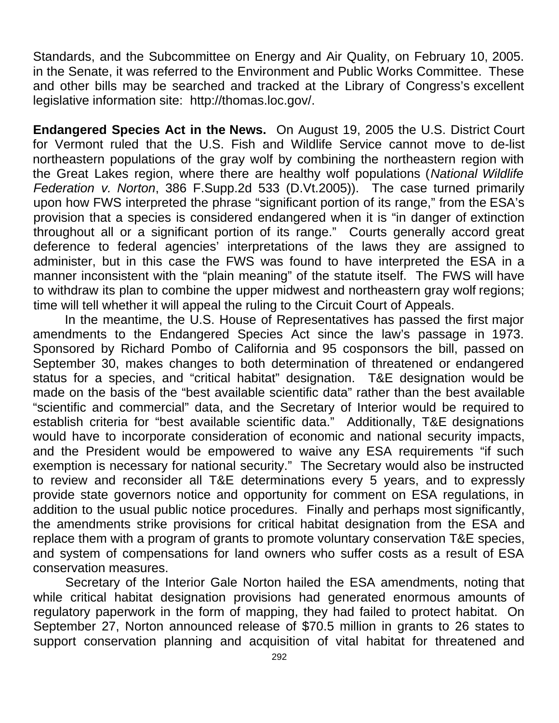Standards, and the Subcommittee on Energy and Air Quality, on February 10, 2005. in the Senate, it was referred to the Environment and Public Works Committee. These and other bills may be searched and tracked at the Library of Congress's excellent legislative information site: http://thomas.loc.gov/.

**Endangered Species Act in the News.** On August 19, 2005 the U.S. District Court for Vermont ruled that the U.S. Fish and Wildlife Service cannot move to de-list northeastern populations of the gray wolf by combining the northeastern region with the Great Lakes region, where there are healthy wolf populations (*National Wildlife Federation v. Norton*, 386 F.Supp.2d 533 (D.Vt.2005)). The case turned primarily upon how FWS interpreted the phrase "significant portion of its range," from the ESA's provision that a species is considered endangered when it is "in danger of extinction throughout all or a significant portion of its range." Courts generally accord great deference to federal agencies' interpretations of the laws they are assigned to administer, but in this case the FWS was found to have interpreted the ESA in a manner inconsistent with the "plain meaning" of the statute itself. The FWS will have to withdraw its plan to combine the upper midwest and northeastern gray wolf regions; time will tell whether it will appeal the ruling to the Circuit Court of Appeals.

In the meantime, the U.S. House of Representatives has passed the first major amendments to the Endangered Species Act since the law's passage in 1973. Sponsored by Richard Pombo of California and 95 cosponsors the bill, passed on September 30, makes changes to both determination of threatened or endangered status for a species, and "critical habitat" designation. T&E designation would be made on the basis of the "best available scientific data" rather than the best available "scientific and commercial" data, and the Secretary of Interior would be required to establish criteria for "best available scientific data." Additionally, T&E designations would have to incorporate consideration of economic and national security impacts, and the President would be empowered to waive any ESA requirements "if such exemption is necessary for national security." The Secretary would also be instructed to review and reconsider all T&E determinations every 5 years, and to expressly provide state governors notice and opportunity for comment on ESA regulations, in addition to the usual public notice procedures. Finally and perhaps most significantly, the amendments strike provisions for critical habitat designation from the ESA and replace them with a program of grants to promote voluntary conservation T&E species, and system of compensations for land owners who suffer costs as a result of ESA conservation measures.

Secretary of the Interior Gale Norton hailed the ESA amendments, noting that while critical habitat designation provisions had generated enormous amounts of regulatory paperwork in the form of mapping, they had failed to protect habitat. On September 27, Norton announced release of \$70.5 million in grants to 26 states to support conservation planning and acquisition of vital habitat for threatened and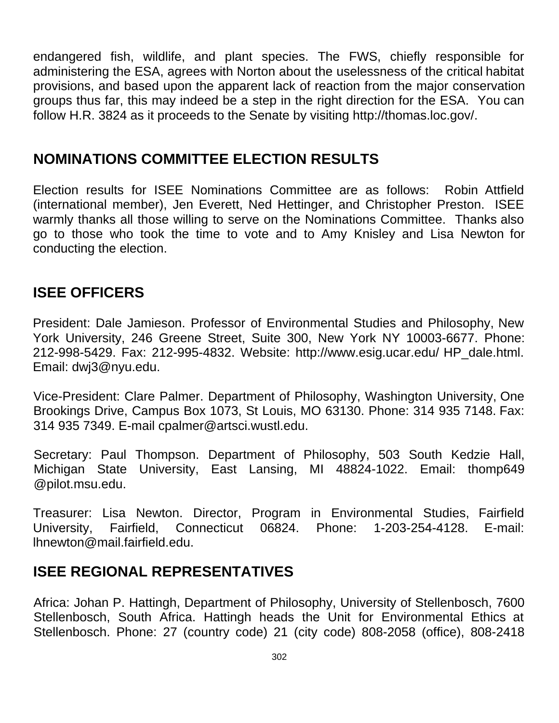endangered fish, wildlife, and plant species. The FWS, chiefly responsible for administering the ESA, agrees with Norton about the uselessness of the critical habitat provisions, and based upon the apparent lack of reaction from the major conservation groups thus far, this may indeed be a step in the right direction for the ESA. You can follow H.R. 3824 as it proceeds to the Senate by visiting http://thomas.loc.gov/.

## **NOMINATIONS COMMITTEE ELECTION RESULTS**

Election results for ISEE Nominations Committee are as follows: Robin Attfield (international member), Jen Everett, Ned Hettinger, and Christopher Preston. ISEE warmly thanks all those willing to serve on the Nominations Committee. Thanks also go to those who took the time to vote and to Amy Knisley and Lisa Newton for conducting the election.

## **ISEE OFFICERS**

President: Dale Jamieson. Professor of Environmental Studies and Philosophy, New York University, 246 Greene Street, Suite 300, New York NY 10003-6677. Phone: 212-998-5429. Fax: 212-995-4832. Website: http://www.esig.ucar.edu/ HP\_dale.html. Email: dwj3@nyu.edu.

Vice-President: Clare Palmer. Department of Philosophy, Washington University, One Brookings Drive, Campus Box 1073, St Louis, MO 63130. Phone: 314 935 7148. Fax: 314 935 7349. E-mail cpalmer@artsci.wustl.edu.

Secretary: Paul Thompson. Department of Philosophy, 503 South Kedzie Hall, Michigan State University, East Lansing, MI 48824-1022. Email: thomp649 @pilot.msu.edu.

Treasurer: Lisa Newton. Director, Program in Environmental Studies, Fairfield University, Fairfield, Connecticut 06824. Phone: 1-203-254-4128. E-mail: lhnewton@mail.fairfield.edu.

## **ISEE REGIONAL REPRESENTATIVES**

Africa: Johan P. Hattingh, Department of Philosophy, University of Stellenbosch, 7600 Stellenbosch, South Africa. Hattingh heads the Unit for Environmental Ethics at Stellenbosch. Phone: 27 (country code) 21 (city code) 808-2058 (office), 808-2418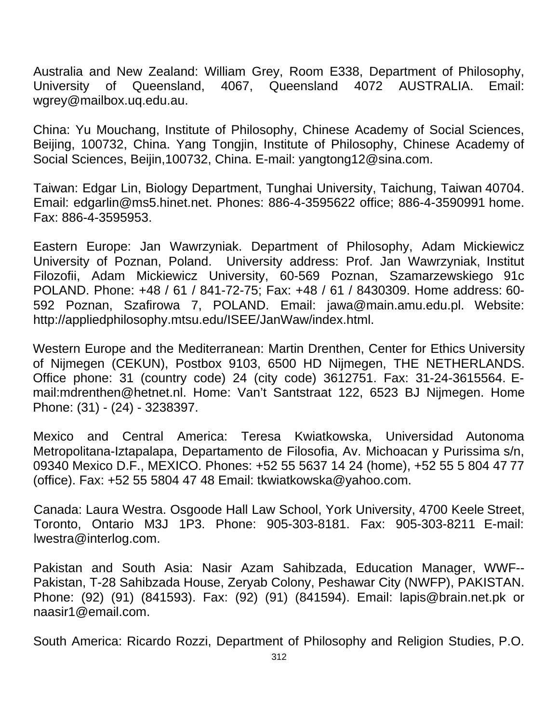Australia and New Zealand: William Grey, Room E338, Department of Philosophy, University of Queensland, 4067, Queensland 4072 AUSTRALIA. Email: wgrey@mailbox.uq.edu.au.

China: Yu Mouchang, Institute of Philosophy, Chinese Academy of Social Sciences, Beijing, 100732, China. Yang Tongjin, Institute of Philosophy, Chinese Academy of Social Sciences, Beijin,100732, China. E-mail: yangtong12@sina.com.

Taiwan: Edgar Lin, Biology Department, Tunghai University, Taichung, Taiwan 40704. Email: edgarlin@ms5.hinet.net. Phones: 886-4-3595622 office; 886-4-3590991 home. Fax: 886-4-3595953.

Eastern Europe: Jan Wawrzyniak. Department of Philosophy, Adam Mickiewicz University of Poznan, Poland. University address: Prof. Jan Wawrzyniak, Institut Filozofii, Adam Mickiewicz University, 60-569 Poznan, Szamarzewskiego 91c POLAND. Phone: +48 / 61 / 841-72-75; Fax: +48 / 61 / 8430309. Home address: 60- 592 Poznan, Szafirowa 7, POLAND. Email: jawa@main.amu.edu.pl. Website: http://appliedphilosophy.mtsu.edu/ISEE/JanWaw/index.html.

Western Europe and the Mediterranean: Martin Drenthen, Center for Ethics University of Nijmegen (CEKUN), Postbox 9103, 6500 HD Nijmegen, THE NETHERLANDS. Office phone: 31 (country code) 24 (city code) 3612751. Fax: 31-24-3615564. Email:mdrenthen@hetnet.nl. Home: Van't Santstraat 122, 6523 BJ Nijmegen. Home Phone: (31) - (24) - 3238397.

Mexico and Central America: Teresa Kwiatkowska, Universidad Autonoma Metropolitana-Iztapalapa, Departamento de Filosofia, Av. Michoacan y Purissima s/n, 09340 Mexico D.F., MEXICO. Phones: +52 55 5637 14 24 (home), +52 55 5 804 47 77 (office). Fax: +52 55 5804 47 48 Email: tkwiatkowska@yahoo.com.

Canada: Laura Westra. Osgoode Hall Law School, York University, 4700 Keele Street, Toronto, Ontario M3J 1P3. Phone: 905-303-8181. Fax: 905-303-8211 E-mail: lwestra@interlog.com.

Pakistan and South Asia: Nasir Azam Sahibzada, Education Manager, WWF-- Pakistan, T-28 Sahibzada House, Zeryab Colony, Peshawar City (NWFP), PAKISTAN. Phone: (92) (91) (841593). Fax: (92) (91) (841594). Email: lapis@brain.net.pk or naasir1@email.com.

South America: Ricardo Rozzi, Department of Philosophy and Religion Studies, P.O.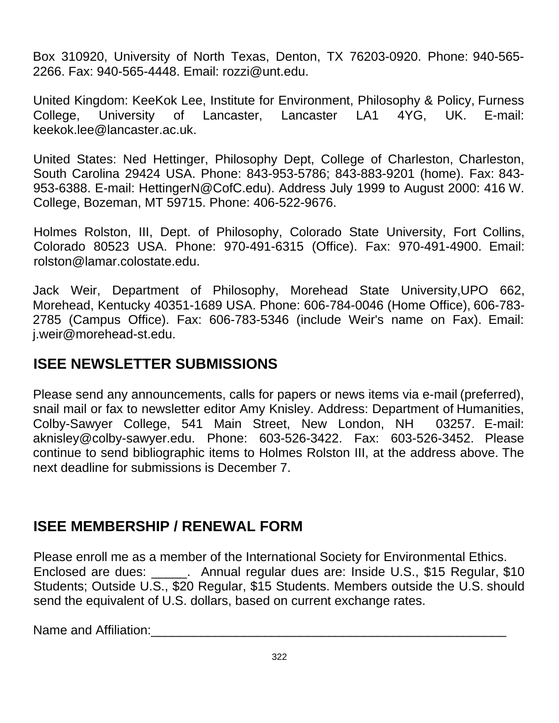Box 310920, University of North Texas, Denton, TX 76203-0920. Phone: 940-565- 2266. Fax: 940-565-4448. Email: rozzi@unt.edu.

United Kingdom: KeeKok Lee, Institute for Environment, Philosophy & Policy, Furness College, University of Lancaster, Lancaster LA1 4YG, UK. E-mail: keekok.lee@lancaster.ac.uk.

United States: Ned Hettinger, Philosophy Dept, College of Charleston, Charleston, South Carolina 29424 USA. Phone: 843-953-5786; 843-883-9201 (home). Fax: 843- 953-6388. E-mail: HettingerN@CofC.edu). Address July 1999 to August 2000: 416 W. College, Bozeman, MT 59715. Phone: 406-522-9676.

Holmes Rolston, III, Dept. of Philosophy, Colorado State University, Fort Collins, Colorado 80523 USA. Phone: 970-491-6315 (Office). Fax: 970-491-4900. Email: rolston@lamar.colostate.edu.

Jack Weir, Department of Philosophy, Morehead State University,UPO 662, Morehead, Kentucky 40351-1689 USA. Phone: 606-784-0046 (Home Office), 606-783- 2785 (Campus Office). Fax: 606-783-5346 (include Weir's name on Fax). Email: j.weir@morehead-st.edu.

## **ISEE NEWSLETTER SUBMISSIONS**

Please send any announcements, calls for papers or news items via e-mail (preferred), snail mail or fax to newsletter editor Amy Knisley. Address: Department of Humanities, Colby-Sawyer College, 541 Main Street, New London, NH 03257. E-mail: aknisley@colby-sawyer.edu. Phone: 603-526-3422. Fax: 603-526-3452. Please continue to send bibliographic items to Holmes Rolston III, at the address above. The next deadline for submissions is December 7.

# **ISEE MEMBERSHIP / RENEWAL FORM**

Please enroll me as a member of the International Society for Environmental Ethics. Enclosed are dues: \_\_\_\_\_. Annual regular dues are: Inside U.S., \$15 Regular, \$10 Students; Outside U.S., \$20 Regular, \$15 Students. Members outside the U.S. should send the equivalent of U.S. dollars, based on current exchange rates.

Name and Affiliation: